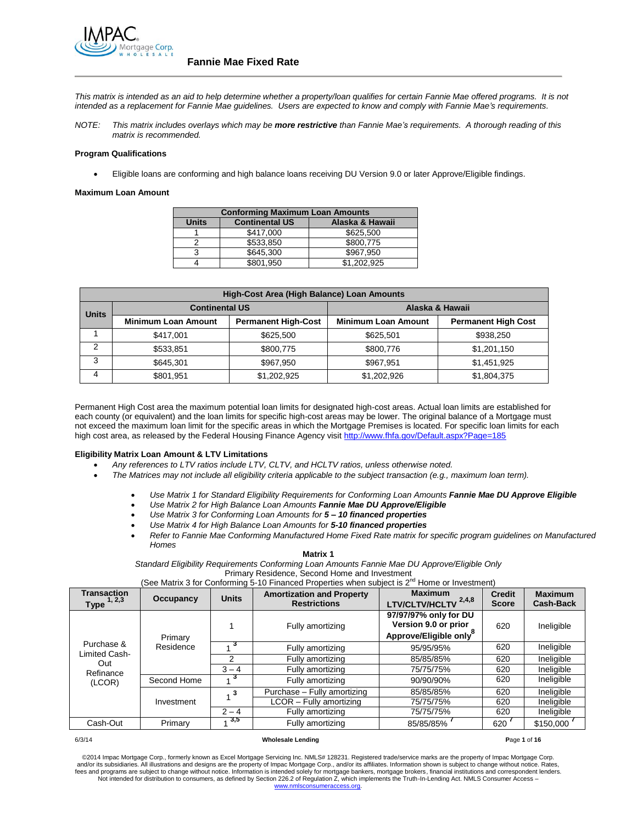

*This matrix is intended as an aid to help determine whether a property/loan qualifies for certain Fannie Mae offered programs. It is not intended as a replacement for Fannie Mae guidelines. Users are expected to know and comply with Fannie Mae's requirements.*

*NOTE: This matrix includes overlays which may be more restrictive than Fannie Mae's requirements. A thorough reading of this matrix is recommended.*

#### **Program Qualifications**

Eligible loans are conforming and high balance loans receiving DU Version 9.0 or later Approve/Eligible findings.

#### **Maximum Loan Amount**

| <b>Conforming Maximum Loan Amounts</b> |                       |                 |  |
|----------------------------------------|-----------------------|-----------------|--|
| <b>Units</b>                           | <b>Continental US</b> | Alaska & Hawaii |  |
|                                        | \$417.000             | \$625,500       |  |
|                                        | \$533.850             | \$800.775       |  |
|                                        | \$645,300             | \$967.950       |  |
|                                        | \$801.950             | \$1.202.925     |  |

|              | High-Cost Area (High Balance) Loan Amounts |                            |                            |                            |  |  |  |
|--------------|--------------------------------------------|----------------------------|----------------------------|----------------------------|--|--|--|
| <b>Units</b> | <b>Continental US</b>                      |                            | Alaska & Hawaii            |                            |  |  |  |
|              | <b>Minimum Loan Amount</b>                 | <b>Permanent High-Cost</b> | <b>Minimum Loan Amount</b> | <b>Permanent High Cost</b> |  |  |  |
|              | \$417.001                                  | \$625,500                  | \$625.501                  | \$938,250                  |  |  |  |
| 2            | \$533.851                                  | \$800.775                  | \$800.776                  | \$1,201,150                |  |  |  |
| 3            | \$645.301                                  | \$967.950                  | \$967.951                  | \$1,451,925                |  |  |  |
| 4            | \$801.951                                  | \$1.202.925                | \$1,202,926                | \$1,804,375                |  |  |  |

Permanent High Cost area the maximum potential loan limits for designated high-cost areas. Actual loan limits are established for each county (or equivalent) and the loan limits for specific high-cost areas may be lower. The original balance of a Mortgage must not exceed the maximum loan limit for the specific areas in which the Mortgage Premises is located. For specific loan limits for each high cost area, as released by the Federal Housing Finance Agency visit<http://www.fhfa.gov/Default.aspx?Page=185>

## **Eligibility Matrix Loan Amount & LTV Limitations**

- *Any references to LTV ratios include LTV, CLTV, and HCLTV ratios, unless otherwise noted.*
- *The Matrices may not include all eligibility criteria applicable to the subject transaction (e.g., maximum loan term).*
	- *Use Matrix 1 for Standard Eligibility Requirements for Conforming Loan Amounts Fannie Mae DU Approve Eligible*
	- *Use Matrix 2 for High Balance Loan Amounts Fannie Mae DU Approve/Eligible*
	- *Use Matrix 3 for Conforming Loan Amounts for 5 – 10 financed properties*
	- *Use Matrix 4 for High Balance Loan Amounts for 5-10 financed properties*
	- *Refer to Fannie Mae Conforming Manufactured Home Fixed Rate matrix for specific program guidelines on Manufactured Homes*

**Matrix 1**

*Standard Eligibility Requirements Conforming Loan Amounts Fannie Mae DU Approve/Eligible Only* 

Primary Residence, Second Home and Investment (See Matrix 3 for Conforming 5-10 Financed Properties when subject is  $2^{nd}$  Home or Investment)

| <b>Transaction</b><br>Type $1, 2, 3$ | Occupancy   | <b>Units</b> | <b>Amortization and Property</b><br><b>Restrictions</b> | <b>Maximum</b><br>LTV/CLTV/HCLTV <sup>2,4,8</sup>                                   | <b>Credit</b><br><b>Score</b> | <b>Maximum</b><br><b>Cash-Back</b> |
|--------------------------------------|-------------|--------------|---------------------------------------------------------|-------------------------------------------------------------------------------------|-------------------------------|------------------------------------|
|                                      | Primary     |              | Fully amortizing                                        | 97/97/97% only for DU<br>Version 9.0 or prior<br>Approve/Eligible only <sup>8</sup> | 620                           | Ineligible                         |
| Purchase &                           | Residence   |              | Fully amortizing                                        | 95/95/95%                                                                           | 620                           | Ineligible                         |
| Limited Cash-<br>Out                 |             |              | Fully amortizing                                        | 85/85/85%                                                                           | 620                           | Ineligible                         |
| Refinance                            |             | $3 - 4$      | Fully amortizing                                        | 75/75/75%                                                                           | 620                           | Ineligible                         |
| (LCOR)                               | Second Home |              | Fully amortizing                                        | 90/90/90%                                                                           | 620                           | Ineligible                         |
|                                      |             |              | Purchase - Fully amortizing                             | 85/85/85%                                                                           | 620                           | Ineligible                         |
|                                      | Investment  |              | LCOR - Fully amortizing                                 | 75/75/75%                                                                           | 620                           | Ineligible                         |
|                                      |             | $2 - 4$      | Fully amortizing                                        | 75/75/75%                                                                           | 620                           | Ineligible                         |
| Cash-Out                             | Primary     | 3,5          | Fully amortizing                                        | 85/85/85%                                                                           | 620                           | \$150,000                          |

#### 6/3/14 **Wholesale Lending P**age **1** of **16**

©2014 Impac Mortgage Corp., formerly known as Excel Mortgage Servicing Inc. NMLS# 128231. Registered trade/service marks are the property of Impac Mortgage Corp. and/or its subsidiaries. All illustrations and designs are the property of Impac Mortgage Corp., and/or its affiliates. Information shown is subject to change without notice. Rates,<br>fees and programs are subject to change [www.nmlsconsumeraccess.org.](http://www.nmlsconsumeraccess.org/)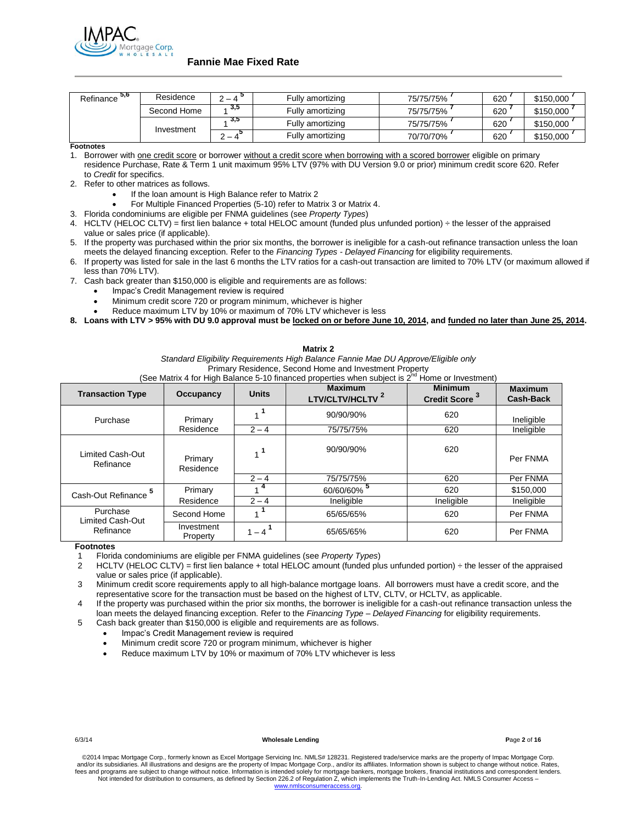

| 5,6<br>Refinance | Residence   | -                        | Fully amortizing | 75/75/75% | 620 | \$150,000 |
|------------------|-------------|--------------------------|------------------|-----------|-----|-----------|
|                  | Second Home | 3,5                      | Fullv amortizing | 75/75/75% | 620 | \$150,000 |
|                  | Investment  | ა,ა                      | Fully amortizing | 75/75/75% | 620 | \$150.000 |
|                  |             | $\overline{\phantom{0}}$ | Fully amortizing | 70/70/70% | 620 | \$150,000 |

**Footnotes**

1. Borrower with one credit score or borrower without a credit score when borrowing with a scored borrower eligible on primary residence Purchase, Rate & Term 1 unit maximum 95% LTV (97% with DU Version 9.0 or prior) minimum credit score 620. Refer to *Credit* for specifics.

2. Refer to other matrices as follows.

- If the loan amount is High Balance refer to Matrix 2
- For Multiple Financed Properties (5-10) refer to Matrix 3 or Matrix 4.
- 3. Florida condominiums are eligible per FNMA guidelines (see *Property Types*)
- 4. HCLTV (HELOC CLTV) = first lien balance + total HELOC amount (funded plus unfunded portion) ÷ the lesser of the appraised value or sales price (if applicable).
- 5. If the property was purchased within the prior six months, the borrower is ineligible for a cash-out refinance transaction unless the loan meets the delayed financing exception. Refer to the *Financing Types - Delayed Financing* for eligibility requirements.
- 6. If property was listed for sale in the last 6 months the LTV ratios for a cash-out transaction are limited to 70% LTV (or maximum allowed if less than 70% LTV).
- 7. Cash back greater than \$150,000 is eligible and requirements are as follows:
	- Impac's Credit Management review is required
	- Minimum credit score 720 or program minimum, whichever is higher
	- Reduce maximum LTV by 10% or maximum of 70% LTV whichever is less

**8. Loans with LTV > 95% with DU 9.0 approval must be locked on or before June 10, 2014, and funded no later than June 25, 2014.**

| Matrix 2                                  |                        |                      |                                                                                                                                                                                                                                                      |                                             |                                    |
|-------------------------------------------|------------------------|----------------------|------------------------------------------------------------------------------------------------------------------------------------------------------------------------------------------------------------------------------------------------------|---------------------------------------------|------------------------------------|
|                                           |                        |                      | Standard Eligibility Reguirements High Balance Fannie Mae DU Approve/Eligible only<br>Primary Residence, Second Home and Investment Property<br>(See Matrix 4 for High Balance 5-10 financed properties when subject is $2^{nd}$ Home or Investment) |                                             |                                    |
| <b>Transaction Type</b>                   | Occupancy              | <b>Units</b>         | <b>Maximum</b><br>LTV/CLTV/HCLTV <sup>2</sup>                                                                                                                                                                                                        | <b>Minimum</b><br>Credit Score <sup>3</sup> | <b>Maximum</b><br><b>Cash-Back</b> |
| Purchase                                  | Primary                | . 1                  | 90/90/90%                                                                                                                                                                                                                                            | 620                                         | Ineligible                         |
|                                           | Residence              | $2 - 4$              | 75/75/75%                                                                                                                                                                                                                                            | 620                                         | Ineligible                         |
| Limited Cash-Out<br>Refinance             | Primary<br>Residence   | $1^1$                | 90/90/90%                                                                                                                                                                                                                                            | 620                                         | Per FNMA                           |
|                                           |                        | $2 - 4$              | 75/75/75%                                                                                                                                                                                                                                            | 620                                         | Per FNMA                           |
| Cash-Out Refinance                        | Primary                |                      | 60/60/60%                                                                                                                                                                                                                                            | 620                                         | \$150,000                          |
|                                           | Residence              | $2 - 4$              | Ineligible                                                                                                                                                                                                                                           | Ineligible                                  | Ineligible                         |
| Purchase<br>Limited Cash-Out<br>Refinance | Second Home            |                      | 65/65/65%                                                                                                                                                                                                                                            | 620                                         | Per FNMA                           |
|                                           | Investment<br>Property | $1 - 4$ <sup>1</sup> | 65/65/65%                                                                                                                                                                                                                                            | 620                                         | Per FNMA                           |

# **Footnotes**

1 Florida condominiums are eligible per FNMA guidelines (see *Property Types*)

HCLTV (HELOC CLTV) = first lien balance + total HELOC amount (funded plus unfunded portion) ÷ the lesser of the appraised value or sales price (if applicable).

3 Minimum credit score requirements apply to all high-balance mortgage loans. All borrowers must have a credit score, and the representative score for the transaction must be based on the highest of LTV, CLTV, or HCLTV, as applicable.

4 If the property was purchased within the prior six months, the borrower is ineligible for a cash-out refinance transaction unless the loan meets the delayed financing exception. Refer to the *Financing Type – Delayed Financing* for eligibility requirements.

5 Cash back greater than \$150,000 is eligible and requirements are as follows.

- Impac's Credit Management review is required
- Minimum credit score 720 or program minimum, whichever is higher
- Reduce maximum LTV by 10% or maximum of 70% LTV whichever is less

6/3/14 **Wholesale Lending P**age **2** of **16**

©2014 Impac Mortgage Corp., formerly known as Excel Mortgage Servicing Inc. NMLS# 128231. Registered trade/service marks are the property of Impac Mortgage Corp. and/or its subsidiaries. All illustrations and designs are the property of Impac Mortgage Corp., and/or its affiliates. Information shown is subject to change without notice. Rates,<br>fees and programs are subject to change Not intended for distribution to consumers, as defined by Section 226.2 of Regulation Z, which implements the Truth-In-Lending Act. NMLS Consumer Access – [www.nmlsconsumeraccess.org.](http://www.nmlsconsumeraccess.org/)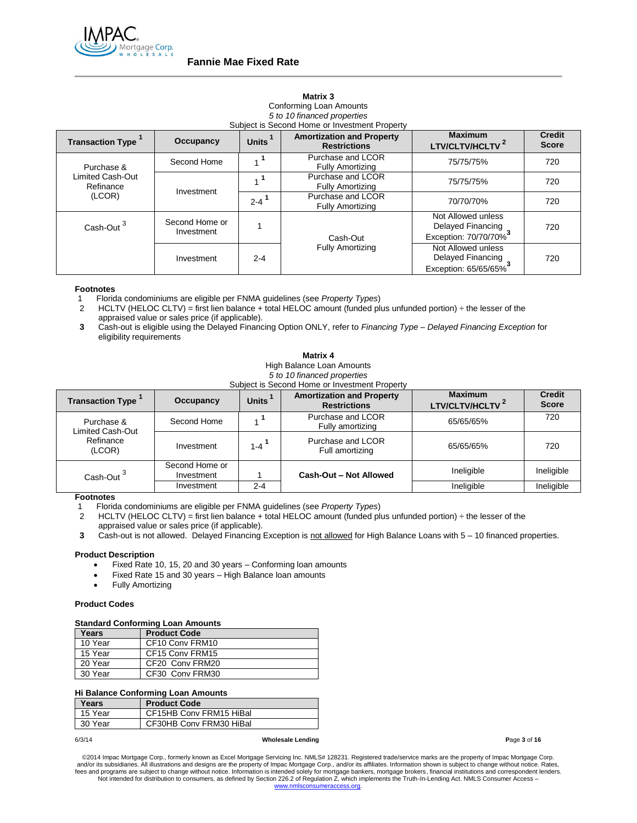

### **Matrix 3**

Conforming Loan Amounts *5 to 10 financed properties* Subject is Second Home or Investment Property

| <b>Transaction Type</b>       | Occupancy      | Units <sup>1</sup>   | <b>Amortization and Property</b><br><b>Restrictions</b> | <b>Maximum</b><br>LTV/CLTV/HCLTV <sup>2</sup> | <b>Credit</b><br><b>Score</b> |
|-------------------------------|----------------|----------------------|---------------------------------------------------------|-----------------------------------------------|-------------------------------|
| Purchase &                    | Second Home    |                      | Purchase and LCOR<br><b>Fully Amortizing</b>            | 75/75/75%                                     | 720                           |
| Limited Cash-Out<br>Refinance | Investment     |                      | Purchase and LCOR<br><b>Fully Amortizing</b>            | 75/75/75%                                     | 720                           |
| (LCOR)                        |                | $2 - 4$ <sup>1</sup> | Purchase and LCOR<br><b>Fully Amortizing</b>            | 70/70/70%                                     | 720                           |
| Cash-Out <sup>3</sup>         | Second Home or |                      |                                                         | Not Allowed unless<br>Delayed Financing       | 720                           |
|                               | Investment     |                      | Cash-Out                                                | Exception: 70/70/70%                          |                               |
|                               | Investment     | $2 - 4$              | <b>Fully Amortizing</b>                                 | Not Allowed unless<br>Delayed Financing       | 720                           |
|                               |                |                      |                                                         | Exception: 65/65/65%                          |                               |

#### **Footnotes**

1 Florida condominiums are eligible per FNMA guidelines (see *Property Types*)

- HCLTV (HELOC CLTV) = first lien balance + total HELOC amount (funded plus unfunded portion) ÷ the lesser of the appraised value or sales price (if applicable).
- **3** Cash-out is eligible using the Delayed Financing Option ONLY, refer to *Financing Type – Delayed Financing Exception* for eligibility requirements

**Matrix 4**

High Balance Loan Amounts

*5 to 10 financed properties* Subject is Second Home or Investment Property

| <b>Transaction Type</b>        | Occupancy                    | <b>Units</b>       | <b>Amortization and Property</b><br><b>Restrictions</b> | <b>Maximum</b><br><b>LTV/CLTV/HCLTV<sup>4</sup></b> | <b>Credit</b><br><b>Score</b> |
|--------------------------------|------------------------------|--------------------|---------------------------------------------------------|-----------------------------------------------------|-------------------------------|
| Purchase &<br>Limited Cash-Out | Second Home                  |                    | Purchase and LCOR<br>Fully amortizing                   | 65/65/65%                                           | 720                           |
| Refinance<br>(LCOR)            | Investment                   | $1-4$ <sup>1</sup> | Purchase and LCOR<br>Full amortizing                    | 65/65/65%                                           | 720                           |
| Cash-Out <sup>3</sup>          | Second Home or<br>Investment |                    | Cash-Out - Not Allowed                                  | Ineligible                                          | Ineligible                    |
|                                | Investment                   | $2 - 4$            |                                                         | Ineligible                                          | Ineligible                    |

# **Footnotes**

1 Florida condominiums are eligible per FNMA guidelines (see *Property Types*)

HCLTV (HELOC CLTV) = first lien balance + total HELOC amount (funded plus unfunded portion) ÷ the lesser of the appraised value or sales price (if applicable).

**3** Cash-out is not allowed. Delayed Financing Exception is not allowed for High Balance Loans with 5 – 10 financed properties.

#### **Product Description**

- Fixed Rate 10, 15, 20 and 30 years Conforming loan amounts
- Fixed Rate 15 and 30 years High Balance loan amounts
- Fully Amortizing

#### **Product Codes**

## **Standard Conforming Loan Amounts**

| Years   | <b>Product Code</b> |  |  |
|---------|---------------------|--|--|
| 10 Year | CF10 Conv FRM10     |  |  |
| 15 Year | CF15 Conv FRM15     |  |  |
| 20 Year | CF20 Conv FRM20     |  |  |
| 30 Year | CF30 Conv FRM30     |  |  |

#### **Hi Balance Conforming Loan Amounts**

| Years   | <b>Product Code</b>     |
|---------|-------------------------|
| 15 Year | CF15HB Conv FRM15 HiBal |
| 30 Year | CF30HB Conv FRM30 HiBal |

6/3/14 **Wholesale Lending P**age **3** of **16**

©2014 Impac Mortgage Corp., formerly known as Excel Mortgage Servicing Inc. NMLS# 128231. Registered trade/service marks are the property of Impac Mortgage Corp. and/or its subsidiaries. All illustrations and designs are the property of Impac Mortgage Corp., and/or its affiliates. Information shown is subject to change without notice. Rates,<br>fees and programs are subject to change [www.nmlsconsumeraccess.org.](http://www.nmlsconsumeraccess.org/)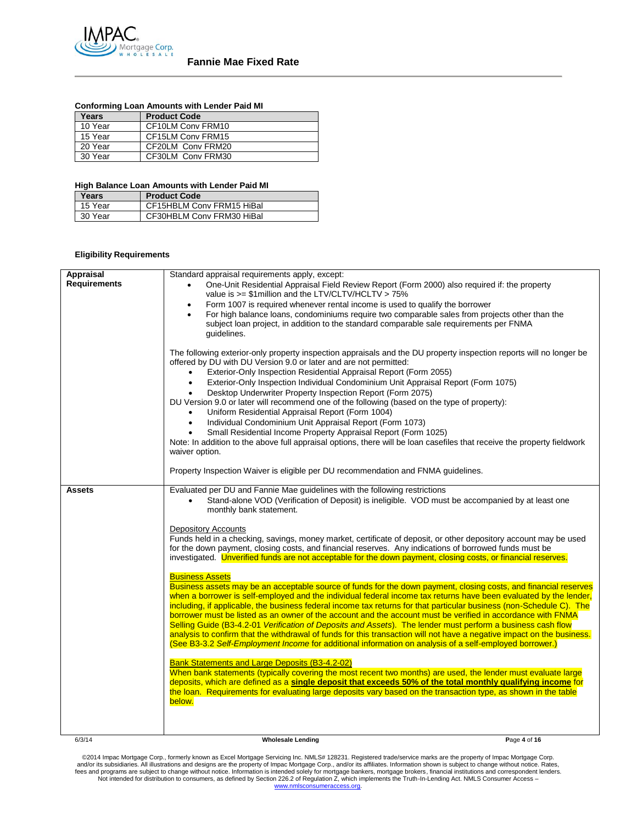

|  | <b>Conforming Loan Amounts with Lender Paid MI</b> |  |  |  |  |
|--|----------------------------------------------------|--|--|--|--|
|--|----------------------------------------------------|--|--|--|--|

| Years   | <b>Product Code</b> |
|---------|---------------------|
| 10 Year | CF10LM Conv FRM10   |
| 15 Year | CF15LM Conv FRM15   |
| 20 Year | CF20LM Conv FRM20   |
| 30 Year | CF30LM Conv FRM30   |

#### **High Balance Loan Amounts with Lender Paid MI**

| Years   | <b>Product Code</b>       |
|---------|---------------------------|
| 15 Year | CF15HBLM Conv FRM15 HiBal |
| 30 Year | CF30HBLM Conv FRM30 HiBal |

### **Eligibility Requirements**

| Appraisal<br><b>Requirements</b> | Standard appraisal requirements apply, except:<br>One-Unit Residential Appraisal Field Review Report (Form 2000) also required if: the property<br>value is $>= $1$ million and the LTV/CLTV/HCLTV $> 75\%$<br>Form 1007 is required whenever rental income is used to qualify the borrower<br>$\bullet$<br>For high balance loans, condominiums require two comparable sales from projects other than the<br>$\bullet$<br>subject loan project, in addition to the standard comparable sale requirements per FNMA<br>guidelines.<br>The following exterior-only property inspection appraisals and the DU property inspection reports will no longer be<br>offered by DU with DU Version 9.0 or later and are not permitted:<br>Exterior-Only Inspection Residential Appraisal Report (Form 2055)<br>$\bullet$<br>Exterior-Only Inspection Individual Condominium Unit Appraisal Report (Form 1075)<br>$\bullet$<br>Desktop Underwriter Property Inspection Report (Form 2075)<br>DU Version 9.0 or later will recommend one of the following (based on the type of property):<br>Uniform Residential Appraisal Report (Form 1004)<br>Individual Condominium Unit Appraisal Report (Form 1073)<br>$\bullet$<br>Small Residential Income Property Appraisal Report (Form 1025)<br>Note: In addition to the above full appraisal options, there will be loan casefiles that receive the property fieldwork<br>waiver option.<br>Property Inspection Waiver is eligible per DU recommendation and FNMA guidelines.                                                                                                                                                                                                                                                                                                                                                          |              |
|----------------------------------|---------------------------------------------------------------------------------------------------------------------------------------------------------------------------------------------------------------------------------------------------------------------------------------------------------------------------------------------------------------------------------------------------------------------------------------------------------------------------------------------------------------------------------------------------------------------------------------------------------------------------------------------------------------------------------------------------------------------------------------------------------------------------------------------------------------------------------------------------------------------------------------------------------------------------------------------------------------------------------------------------------------------------------------------------------------------------------------------------------------------------------------------------------------------------------------------------------------------------------------------------------------------------------------------------------------------------------------------------------------------------------------------------------------------------------------------------------------------------------------------------------------------------------------------------------------------------------------------------------------------------------------------------------------------------------------------------------------------------------------------------------------------------------------------------------------------------------------------------------------------------|--------------|
| <b>Assets</b>                    | Evaluated per DU and Fannie Mae guidelines with the following restrictions<br>Stand-alone VOD (Verification of Deposit) is ineligible. VOD must be accompanied by at least one<br>monthly bank statement.<br><b>Depository Accounts</b><br>Funds held in a checking, savings, money market, certificate of deposit, or other depository account may be used<br>for the down payment, closing costs, and financial reserves. Any indications of borrowed funds must be<br>investigated. Unverified funds are not acceptable for the down payment, closing costs, or financial reserves.<br><b>Business Assets</b><br>Business assets may be an acceptable source of funds for the down payment, closing costs, and financial reserves<br>when a borrower is self-employed and the individual federal income tax returns have been evaluated by the lender,<br>including, if applicable, the business federal income tax returns for that particular business (non-Schedule C). The<br>borrower must be listed as an owner of the account and the account must be verified in accordance with FNMA<br>Selling Guide (B3-4.2-01 Verification of Deposits and Assets). The lender must perform a business cash flow<br>analysis to confirm that the withdrawal of funds for this transaction will not have a negative impact on the business.<br>(See B3-3.2 Self-Employment Income for additional information on analysis of a self-employed borrower.)<br><b>Bank Statements and Large Deposits (B3-4.2-02)</b><br>When bank statements (typically covering the most recent two months) are used, the lender must evaluate large<br>deposits, which are defined as a single deposit that exceeds 50% of the total monthly qualifying income for<br>the loan. Requirements for evaluating large deposits vary based on the transaction type, as shown in the table<br>below. |              |
| 6/3/14                           | <b>Wholesale Lending</b>                                                                                                                                                                                                                                                                                                                                                                                                                                                                                                                                                                                                                                                                                                                                                                                                                                                                                                                                                                                                                                                                                                                                                                                                                                                                                                                                                                                                                                                                                                                                                                                                                                                                                                                                                                                                                                                  | Page 4 of 16 |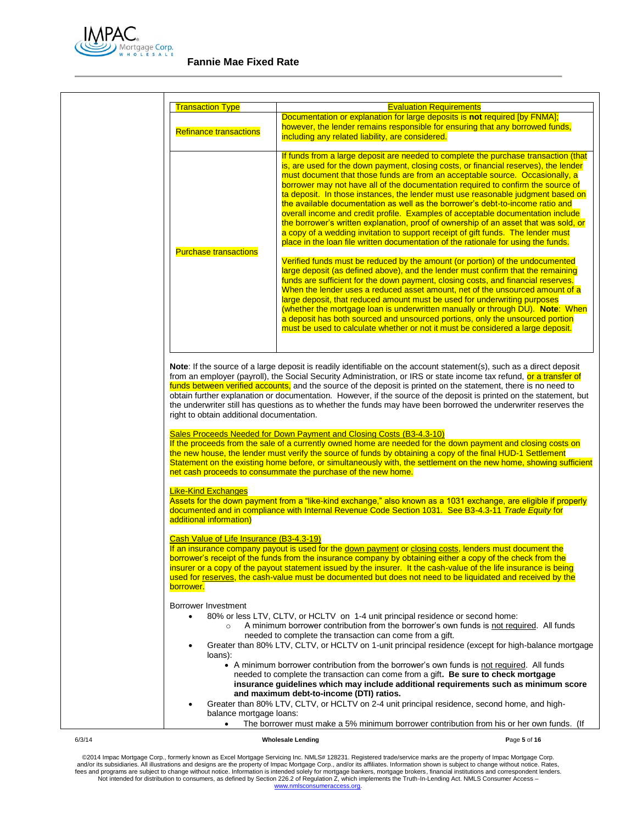

|                                                                                                                                                                                               | <b>Evaluation Requirements</b>                                                                                                                                                                                                                                                                                                                                                                                                                                                                                                                                                                                                                                                                                                                                                                                                                                                                                                                                                                                                                                                                                                                                                                                                                                                                                                                                                                                                                                                                                                                            |
|-----------------------------------------------------------------------------------------------------------------------------------------------------------------------------------------------|-----------------------------------------------------------------------------------------------------------------------------------------------------------------------------------------------------------------------------------------------------------------------------------------------------------------------------------------------------------------------------------------------------------------------------------------------------------------------------------------------------------------------------------------------------------------------------------------------------------------------------------------------------------------------------------------------------------------------------------------------------------------------------------------------------------------------------------------------------------------------------------------------------------------------------------------------------------------------------------------------------------------------------------------------------------------------------------------------------------------------------------------------------------------------------------------------------------------------------------------------------------------------------------------------------------------------------------------------------------------------------------------------------------------------------------------------------------------------------------------------------------------------------------------------------------|
| <b>Refinance transactions</b>                                                                                                                                                                 | Documentation or explanation for large deposits is not required [by FNMA];<br>however, the lender remains responsible for ensuring that any borrowed funds,<br>including any related liability, are considered.                                                                                                                                                                                                                                                                                                                                                                                                                                                                                                                                                                                                                                                                                                                                                                                                                                                                                                                                                                                                                                                                                                                                                                                                                                                                                                                                           |
| <b>Purchase transactions</b>                                                                                                                                                                  | If funds from a large deposit are needed to complete the purchase transaction (that<br>is, are used for the down payment, closing costs, or financial reserves), the lender<br>must document that those funds are from an acceptable source. Occasionally, a<br>borrower may not have all of the documentation required to confirm the source of<br>ta deposit. In those instances, the lender must use reasonable judgment based on<br>the available documentation as well as the borrower's debt-to-income ratio and<br>overall income and credit profile. Examples of acceptable documentation include<br>the borrower's written explanation, proof of ownership of an asset that was sold, or<br>a copy of a wedding invitation to support receipt of gift funds. The lender must<br>place in the loan file written documentation of the rationale for using the funds.<br>Verified funds must be reduced by the amount (or portion) of the undocumented<br>large deposit (as defined above), and the lender must confirm that the remaining<br>funds are sufficient for the down payment, closing costs, and financial reserves.<br>When the lender uses a reduced asset amount, net of the unsourced amount of a<br>large deposit, that reduced amount must be used for underwriting purposes<br>(whether the mortgage loan is underwritten manually or through DU). Note: When<br>a deposit has both sourced and unsourced portions, only the unsourced portion<br>must be used to calculate whether or not it must be considered a large deposit. |
|                                                                                                                                                                                               | Note: If the source of a large deposit is readily identifiable on the account statement(s), such as a direct deposit<br>from an employer (payroll), the Social Security Administration, or IRS or state income tax refund, or a transfer of<br>funds between verified accounts, and the source of the deposit is printed on the statement, there is no need to<br>obtain further explanation or documentation. However, if the source of the deposit is printed on the statement, but<br>the underwriter still has questions as to whether the funds may have been borrowed the underwriter reserves the                                                                                                                                                                                                                                                                                                                                                                                                                                                                                                                                                                                                                                                                                                                                                                                                                                                                                                                                                  |
|                                                                                                                                                                                               |                                                                                                                                                                                                                                                                                                                                                                                                                                                                                                                                                                                                                                                                                                                                                                                                                                                                                                                                                                                                                                                                                                                                                                                                                                                                                                                                                                                                                                                                                                                                                           |
|                                                                                                                                                                                               | Sales Proceeds Needed for Down Payment and Closing Costs (B3-4.3-10)<br>If the proceeds from the sale of a currently owned home are needed for the down payment and closing costs on<br>the new house, the lender must verify the source of funds by obtaining a copy of the final HUD-1 Settlement<br>Statement on the existing home before, or simultaneously with, the settlement on the new home, showing sufficient                                                                                                                                                                                                                                                                                                                                                                                                                                                                                                                                                                                                                                                                                                                                                                                                                                                                                                                                                                                                                                                                                                                                  |
|                                                                                                                                                                                               | net cash proceeds to consummate the purchase of the new home.                                                                                                                                                                                                                                                                                                                                                                                                                                                                                                                                                                                                                                                                                                                                                                                                                                                                                                                                                                                                                                                                                                                                                                                                                                                                                                                                                                                                                                                                                             |
|                                                                                                                                                                                               | Assets for the down payment from a "like-kind exchange," also known as a 1031 exchange, are eligible if properly<br>documented and in compliance with Internal Revenue Code Section 1031. See B3-4.3-11 Trade Equity for                                                                                                                                                                                                                                                                                                                                                                                                                                                                                                                                                                                                                                                                                                                                                                                                                                                                                                                                                                                                                                                                                                                                                                                                                                                                                                                                  |
|                                                                                                                                                                                               | If an insurance company payout is used for the down payment or closing costs, lenders must document the<br>borrower's receipt of the funds from the insurance company by obtaining either a copy of the check from the<br>insurer or a copy of the payout statement issued by the insurer. It the cash-value of the life insurance is being<br>used for reserves, the cash-value must be documented but does not need to be liquidated and received by the                                                                                                                                                                                                                                                                                                                                                                                                                                                                                                                                                                                                                                                                                                                                                                                                                                                                                                                                                                                                                                                                                                |
| $\bullet$                                                                                                                                                                                     | 80% or less LTV, CLTV, or HCLTV on 1-4 unit principal residence or second home:<br>A minimum borrower contribution from the borrower's own funds is not required. All funds                                                                                                                                                                                                                                                                                                                                                                                                                                                                                                                                                                                                                                                                                                                                                                                                                                                                                                                                                                                                                                                                                                                                                                                                                                                                                                                                                                               |
| right to obtain additional documentation.<br><b>Like-Kind Exchanges</b><br>additional information)<br>Cash Value of Life Insurance (B3-4.3-19)<br>borrower.<br>Borrower Investment<br>loans): | needed to complete the transaction can come from a gift.<br>Greater than 80% LTV, CLTV, or HCLTV on 1-unit principal residence (except for high-balance mortgage<br>• A minimum borrower contribution from the borrower's own funds is not required. All funds<br>needed to complete the transaction can come from a gift. Be sure to check mortgage<br>insurance guidelines which may include additional requirements such as minimum score                                                                                                                                                                                                                                                                                                                                                                                                                                                                                                                                                                                                                                                                                                                                                                                                                                                                                                                                                                                                                                                                                                              |

### 6/3/14 **Wholesale Lending P**age **5** of **16**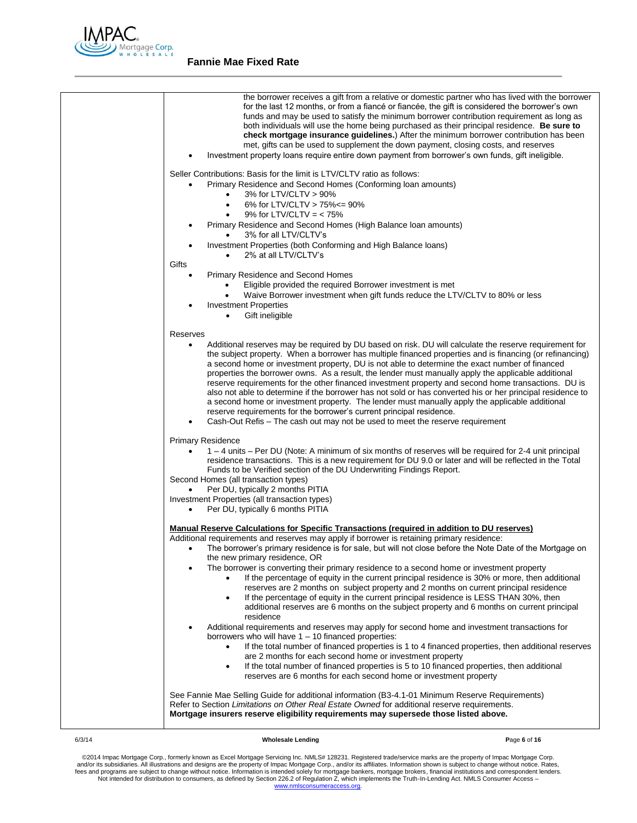

| the borrower receives a gift from a relative or domestic partner who has lived with the borrower<br>for the last 12 months, or from a fiance or fiancee, the gift is considered the borrower's own<br>funds and may be used to satisfy the minimum borrower contribution requirement as long as<br>both individuals will use the home being purchased as their principal residence. Be sure to<br>check mortgage insurance guidelines.) After the minimum borrower contribution has been<br>met, gifts can be used to supplement the down payment, closing costs, and reserves<br>Investment property loans require entire down payment from borrower's own funds, gift ineligible.                                                                                                                                                     |
|-----------------------------------------------------------------------------------------------------------------------------------------------------------------------------------------------------------------------------------------------------------------------------------------------------------------------------------------------------------------------------------------------------------------------------------------------------------------------------------------------------------------------------------------------------------------------------------------------------------------------------------------------------------------------------------------------------------------------------------------------------------------------------------------------------------------------------------------|
| Seller Contributions: Basis for the limit is LTV/CLTV ratio as follows:                                                                                                                                                                                                                                                                                                                                                                                                                                                                                                                                                                                                                                                                                                                                                                 |
| Primary Residence and Second Homes (Conforming Ioan amounts)<br>$\bullet$<br>3% for LTV/CLTV > 90%<br>6% for LTV/CLTV > 75% <= 90%<br>$\bullet$<br>9% for LTV/CLTV = $<$ 75%<br>$\bullet$<br>Primary Residence and Second Homes (High Balance Ioan amounts)<br>$\bullet$<br>3% for all LTV/CLTV's<br>Investment Properties (both Conforming and High Balance Ioans)<br>$\bullet$                                                                                                                                                                                                                                                                                                                                                                                                                                                        |
| 2% at all LTV/CLTV's                                                                                                                                                                                                                                                                                                                                                                                                                                                                                                                                                                                                                                                                                                                                                                                                                    |
| Gifts                                                                                                                                                                                                                                                                                                                                                                                                                                                                                                                                                                                                                                                                                                                                                                                                                                   |
| Primary Residence and Second Homes<br>$\bullet$<br>Eligible provided the required Borrower investment is met<br>Waive Borrower investment when gift funds reduce the LTV/CLTV to 80% or less<br><b>Investment Properties</b><br>Gift ineligible<br>$\bullet$                                                                                                                                                                                                                                                                                                                                                                                                                                                                                                                                                                            |
| Reserves                                                                                                                                                                                                                                                                                                                                                                                                                                                                                                                                                                                                                                                                                                                                                                                                                                |
| Additional reserves may be required by DU based on risk. DU will calculate the reserve requirement for<br>$\bullet$<br>the subject property. When a borrower has multiple financed properties and is financing (or refinancing)<br>a second home or investment property, DU is not able to determine the exact number of financed<br>properties the borrower owns. As a result, the lender must manually apply the applicable additional<br>reserve requirements for the other financed investment property and second home transactions. DU is<br>also not able to determine if the borrower has not sold or has converted his or her principal residence to<br>a second home or investment property. The lender must manually apply the applicable additional<br>reserve requirements for the borrower's current principal residence. |
| Cash-Out Refis – The cash out may not be used to meet the reserve requirement                                                                                                                                                                                                                                                                                                                                                                                                                                                                                                                                                                                                                                                                                                                                                           |
| <b>Primary Residence</b>                                                                                                                                                                                                                                                                                                                                                                                                                                                                                                                                                                                                                                                                                                                                                                                                                |
| 1 – 4 units – Per DU (Note: A minimum of six months of reserves will be required for 2-4 unit principal<br>residence transactions. This is a new requirement for DU 9.0 or later and will be reflected in the Total<br>Funds to be Verified section of the DU Underwriting Findings Report.<br>Second Homes (all transaction types)<br>Per DU, typically 2 months PITIA<br>Investment Properties (all transaction types)                                                                                                                                                                                                                                                                                                                                                                                                                |
| Per DU, typically 6 months PITIA<br>$\bullet$                                                                                                                                                                                                                                                                                                                                                                                                                                                                                                                                                                                                                                                                                                                                                                                           |
|                                                                                                                                                                                                                                                                                                                                                                                                                                                                                                                                                                                                                                                                                                                                                                                                                                         |
| <b>Manual Reserve Calculations for Specific Transactions (required in addition to DU reserves)</b><br>Additional requirements and reserves may apply if borrower is retaining primary residence:<br>The borrower's primary residence is for sale, but will not close before the Note Date of the Mortgage on<br>$\bullet$<br>the new primary residence, OR                                                                                                                                                                                                                                                                                                                                                                                                                                                                              |
| The borrower is converting their primary residence to a second home or investment property<br>If the percentage of equity in the current principal residence is 30% or more, then additional<br>reserves are 2 months on subject property and 2 months on current principal residence<br>If the percentage of equity in the current principal residence is LESS THAN 30%, then<br>$\bullet$<br>additional reserves are 6 months on the subject property and 6 months on current principal<br>residence                                                                                                                                                                                                                                                                                                                                  |
| Additional requirements and reserves may apply for second home and investment transactions for<br>borrowers who will have $1 - 10$ financed properties:                                                                                                                                                                                                                                                                                                                                                                                                                                                                                                                                                                                                                                                                                 |
| If the total number of financed properties is 1 to 4 financed properties, then additional reserves<br>are 2 months for each second home or investment property<br>If the total number of financed properties is 5 to 10 financed properties, then additional<br>$\bullet$<br>reserves are 6 months for each second home or investment property                                                                                                                                                                                                                                                                                                                                                                                                                                                                                          |
| See Fannie Mae Selling Guide for additional information (B3-4.1-01 Minimum Reserve Requirements)<br>Refer to Section Limitations on Other Real Estate Owned for additional reserve requirements.<br>Mortgage insurers reserve eligibility requirements may supersede those listed above.                                                                                                                                                                                                                                                                                                                                                                                                                                                                                                                                                |
|                                                                                                                                                                                                                                                                                                                                                                                                                                                                                                                                                                                                                                                                                                                                                                                                                                         |

### 6/3/14 **Wholesale Lending P**age **6** of **16**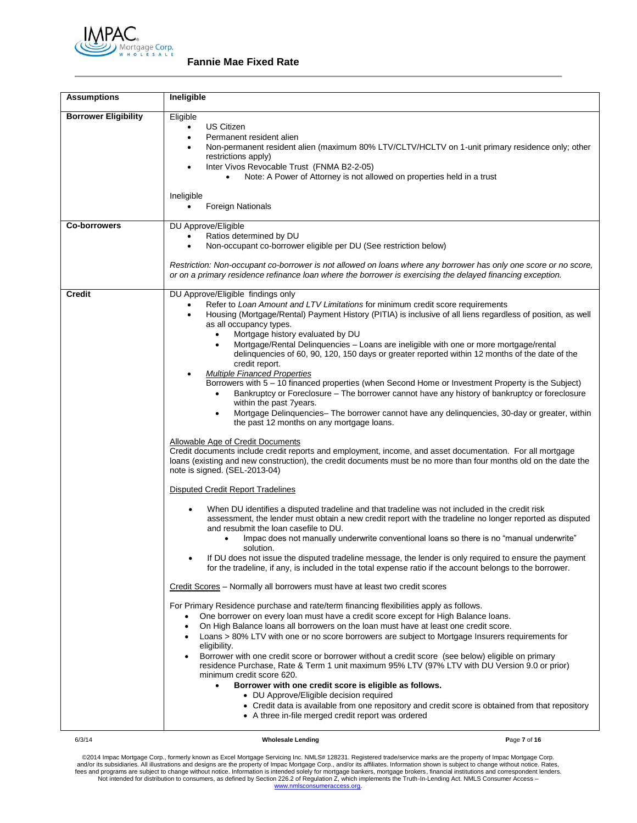

| <b>Assumptions</b>          | Ineligible                                                                                                                                                                                                                                                                                                                                                                                                                                                                                                                                                                                                                                                                                                                                                                                                                                                                                                                                                                                                                                                                                                                                                                                                                                                                                                                                                                                                                                                                                                                                                                                                                                                                                                                                                                                                                                                                                                                                                                                                                                                                                                                                                                                                                                                                                                                                                                                                                                                                                                                                                                                                                                                                                                                                                                                                                                                                                                                                                |                                                                                                                                                                            |  |
|-----------------------------|-----------------------------------------------------------------------------------------------------------------------------------------------------------------------------------------------------------------------------------------------------------------------------------------------------------------------------------------------------------------------------------------------------------------------------------------------------------------------------------------------------------------------------------------------------------------------------------------------------------------------------------------------------------------------------------------------------------------------------------------------------------------------------------------------------------------------------------------------------------------------------------------------------------------------------------------------------------------------------------------------------------------------------------------------------------------------------------------------------------------------------------------------------------------------------------------------------------------------------------------------------------------------------------------------------------------------------------------------------------------------------------------------------------------------------------------------------------------------------------------------------------------------------------------------------------------------------------------------------------------------------------------------------------------------------------------------------------------------------------------------------------------------------------------------------------------------------------------------------------------------------------------------------------------------------------------------------------------------------------------------------------------------------------------------------------------------------------------------------------------------------------------------------------------------------------------------------------------------------------------------------------------------------------------------------------------------------------------------------------------------------------------------------------------------------------------------------------------------------------------------------------------------------------------------------------------------------------------------------------------------------------------------------------------------------------------------------------------------------------------------------------------------------------------------------------------------------------------------------------------------------------------------------------------------------------------------------------|----------------------------------------------------------------------------------------------------------------------------------------------------------------------------|--|
| <b>Borrower Eligibility</b> | Eligible<br>US Citizen<br>$\bullet$<br>Permanent resident alien<br>$\bullet$<br>$\bullet$<br>restrictions apply)<br>Inter Vivos Revocable Trust (FNMA B2-2-05)<br>$\bullet$<br>Ineligible<br><b>Foreign Nationals</b>                                                                                                                                                                                                                                                                                                                                                                                                                                                                                                                                                                                                                                                                                                                                                                                                                                                                                                                                                                                                                                                                                                                                                                                                                                                                                                                                                                                                                                                                                                                                                                                                                                                                                                                                                                                                                                                                                                                                                                                                                                                                                                                                                                                                                                                                                                                                                                                                                                                                                                                                                                                                                                                                                                                                     | Non-permanent resident alien (maximum 80% LTV/CLTV/HCLTV on 1-unit primary residence only; other<br>Note: A Power of Attorney is not allowed on properties held in a trust |  |
| <b>Co-borrowers</b>         | DU Approve/Eligible<br>Ratios determined by DU<br>$\bullet$<br>Non-occupant co-borrower eligible per DU (See restriction below)<br>Restriction: Non-occupant co-borrower is not allowed on loans where any borrower has only one score or no score,<br>or on a primary residence refinance loan where the borrower is exercising the delayed financing exception.                                                                                                                                                                                                                                                                                                                                                                                                                                                                                                                                                                                                                                                                                                                                                                                                                                                                                                                                                                                                                                                                                                                                                                                                                                                                                                                                                                                                                                                                                                                                                                                                                                                                                                                                                                                                                                                                                                                                                                                                                                                                                                                                                                                                                                                                                                                                                                                                                                                                                                                                                                                         |                                                                                                                                                                            |  |
| <b>Credit</b><br>6/3/14     | DU Approve/Eligible findings only<br>Refer to Loan Amount and LTV Limitations for minimum credit score requirements<br>Housing (Mortgage/Rental) Payment History (PITIA) is inclusive of all liens regardless of position, as well<br>as all occupancy types.<br>Mortgage history evaluated by DU<br>$\bullet$<br>Mortgage/Rental Delinquencies - Loans are ineligible with one or more mortgage/rental<br>delinquencies of 60, 90, 120, 150 days or greater reported within 12 months of the date of the<br>credit report.<br><b>Multiple Financed Properties</b><br>Borrowers with 5 - 10 financed properties (when Second Home or Investment Property is the Subject)<br>Bankruptcy or Foreclosure – The borrower cannot have any history of bankruptcy or foreclosure<br>within the past 7years.<br>Mortgage Delinquencies- The borrower cannot have any delinquencies, 30-day or greater, within<br>the past 12 months on any mortgage loans.<br>Allowable Age of Credit Documents<br>Credit documents include credit reports and employment, income, and asset documentation. For all mortgage<br>loans (existing and new construction), the credit documents must be no more than four months old on the date the<br>note is signed. (SEL-2013-04)<br><b>Disputed Credit Report Tradelines</b><br>When DU identifies a disputed tradeline and that tradeline was not included in the credit risk<br>assessment, the lender must obtain a new credit report with the tradeline no longer reported as disputed<br>and resubmit the loan casefile to DU.<br>Impac does not manually underwrite conventional loans so there is no "manual underwrite"<br>solution.<br>If DU does not issue the disputed tradeline message, the lender is only required to ensure the payment<br>$\bullet$<br>for the tradeline, if any, is included in the total expense ratio if the account belongs to the borrower.<br>Credit Scores – Normally all borrowers must have at least two credit scores<br>For Primary Residence purchase and rate/term financing flexibilities apply as follows.<br>One borrower on every loan must have a credit score except for High Balance loans.<br>$\bullet$<br>On High Balance loans all borrowers on the loan must have at least one credit score.<br>$\bullet$<br>Loans > 80% LTV with one or no score borrowers are subject to Mortgage Insurers requirements for<br>eligibility.<br>Borrower with one credit score or borrower without a credit score (see below) eligible on primary<br>residence Purchase, Rate & Term 1 unit maximum 95% LTV (97% LTV with DU Version 9.0 or prior)<br>minimum credit score 620.<br>Borrower with one credit score is eligible as follows.<br>$\bullet$<br>• DU Approve/Eligible decision required<br>• Credit data is available from one repository and credit score is obtained from that repository<br>• A three in-file merged credit report was ordered<br><b>Wholesale Lending</b> | Page 7 of 16                                                                                                                                                               |  |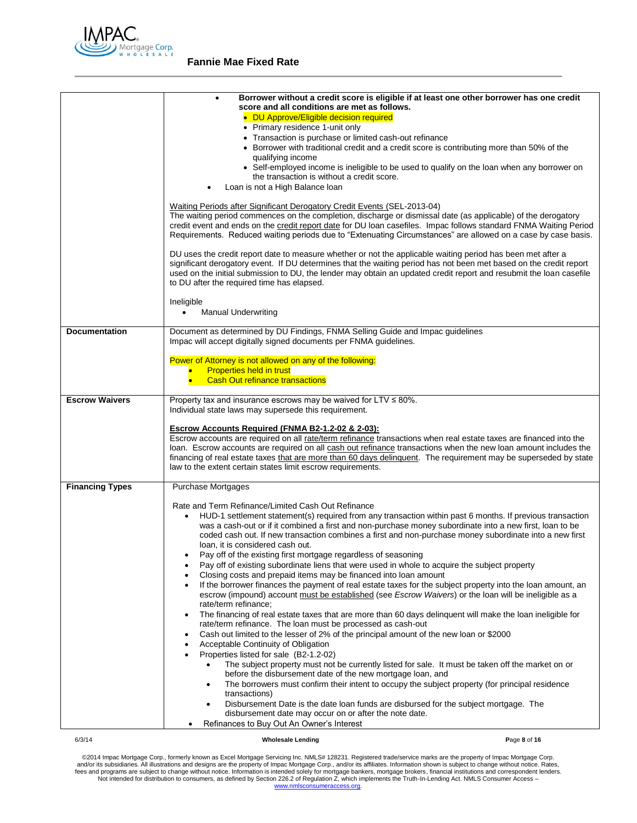

|                        | Borrower without a credit score is eligible if at least one other borrower has one credit<br>$\bullet$<br>score and all conditions are met as follows.<br>• DU Approve/Eligible decision required<br>• Primary residence 1-unit only<br>• Transaction is purchase or limited cash-out refinance<br>• Borrower with traditional credit and a credit score is contributing more than 50% of the<br>qualifying income<br>• Self-employed income is ineligible to be used to qualify on the loan when any borrower on |
|------------------------|-------------------------------------------------------------------------------------------------------------------------------------------------------------------------------------------------------------------------------------------------------------------------------------------------------------------------------------------------------------------------------------------------------------------------------------------------------------------------------------------------------------------|
|                        | the transaction is without a credit score.<br>Loan is not a High Balance loan                                                                                                                                                                                                                                                                                                                                                                                                                                     |
|                        | Waiting Periods after Significant Derogatory Credit Events (SEL-2013-04)<br>The waiting period commences on the completion, discharge or dismissal date (as applicable) of the derogatory<br>credit event and ends on the credit report date for DU loan casefiles. Impac follows standard FNMA Waiting Period<br>Requirements. Reduced waiting periods due to "Extenuating Circumstances" are allowed on a case by case basis.                                                                                   |
|                        | DU uses the credit report date to measure whether or not the applicable waiting period has been met after a<br>significant derogatory event. If DU determines that the waiting period has not been met based on the credit report<br>used on the initial submission to DU, the lender may obtain an updated credit report and resubmit the loan casefile<br>to DU after the required time has elapsed.                                                                                                            |
|                        | Ineligible<br><b>Manual Underwriting</b><br>$\bullet$                                                                                                                                                                                                                                                                                                                                                                                                                                                             |
| <b>Documentation</b>   | Document as determined by DU Findings, FNMA Selling Guide and Impac guidelines<br>Impac will accept digitally signed documents per FNMA guidelines.                                                                                                                                                                                                                                                                                                                                                               |
|                        | Power of Attorney is not allowed on any of the following:<br><b>Properties held in trust</b><br><b>Cash Out refinance transactions</b>                                                                                                                                                                                                                                                                                                                                                                            |
| <b>Escrow Waivers</b>  | Property tax and insurance escrows may be waived for LTV $\leq 80\%$ .<br>Individual state laws may supersede this requirement.                                                                                                                                                                                                                                                                                                                                                                                   |
|                        | Escrow Accounts Required (FNMA B2-1.2-02 & 2-03):<br>Escrow accounts are required on all rate/term refinance transactions when real estate taxes are financed into the<br>loan. Escrow accounts are required on all cash out refinance transactions when the new loan amount includes the<br>financing of real estate taxes that are more than 60 days delinquent. The requirement may be superseded by state<br>law to the extent certain states limit escrow requirements.                                      |
| <b>Financing Types</b> | Purchase Mortgages                                                                                                                                                                                                                                                                                                                                                                                                                                                                                                |
|                        | Rate and Term Refinance/Limited Cash Out Refinance<br>HUD-1 settlement statement(s) required from any transaction within past 6 months. If previous transaction<br>$\bullet$<br>was a cash-out or if it combined a first and non-purchase money subordinate into a new first, loan to be<br>coded cash out. If new transaction combines a first and non-purchase money subordinate into a new first<br>loan, it is considered cash out.                                                                           |
|                        | Pay off of the existing first mortgage regardless of seasoning<br>Pay off of existing subordinate liens that were used in whole to acquire the subject property<br>$\bullet$<br>Closing costs and prepaid items may be financed into loan amount                                                                                                                                                                                                                                                                  |
|                        | If the borrower finances the payment of real estate taxes for the subject property into the loan amount, an<br>$\bullet$<br>escrow (impound) account must be established (see <i>Escrow Waivers</i> ) or the loan will be ineligible as a<br>rate/term refinance;                                                                                                                                                                                                                                                 |
|                        | The financing of real estate taxes that are more than 60 days delinquent will make the loan ineligible for<br>$\bullet$<br>rate/term refinance. The loan must be processed as cash-out<br>Cash out limited to the lesser of 2% of the principal amount of the new loan or \$2000<br>$\bullet$                                                                                                                                                                                                                     |
|                        | Acceptable Continuity of Obligation<br>$\bullet$<br>Properties listed for sale (B2-1.2-02)<br>$\bullet$<br>The subject property must not be currently listed for sale. It must be taken off the market on or<br>$\bullet$                                                                                                                                                                                                                                                                                         |
|                        | before the disbursement date of the new mortgage loan, and<br>The borrowers must confirm their intent to occupy the subject property (for principal residence<br>٠<br>transactions)                                                                                                                                                                                                                                                                                                                               |
|                        | Disbursement Date is the date loan funds are disbursed for the subject mortgage. The<br>disbursement date may occur on or after the note date.<br>Refinances to Buy Out An Owner's Interest                                                                                                                                                                                                                                                                                                                       |
|                        |                                                                                                                                                                                                                                                                                                                                                                                                                                                                                                                   |

### 6/3/14 **Wholesale Lending P**age **8** of **16**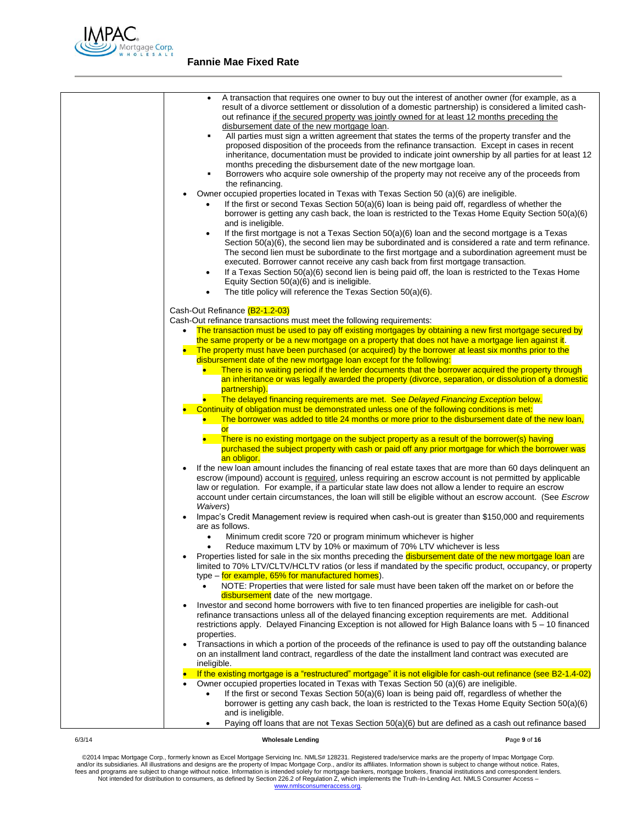

| A transaction that requires one owner to buy out the interest of another owner (for example, as a<br>$\bullet$<br>result of a divorce settlement or dissolution of a domestic partnership) is considered a limited cash-<br>out refinance if the secured property was jointly owned for at least 12 months preceding the<br>disbursement date of the new mortgage loan.<br>All parties must sign a written agreement that states the terms of the property transfer and the<br>٠<br>proposed disposition of the proceeds from the refinance transaction. Except in cases in recent<br>inheritance, documentation must be provided to indicate joint ownership by all parties for at least 12<br>months preceding the disbursement date of the new mortgage loan.<br>Borrowers who acquire sole ownership of the property may not receive any of the proceeds from<br>٠<br>the refinancing.<br>Owner occupied properties located in Texas with Texas Section 50 (a)(6) are ineligible.<br>If the first or second Texas Section 50(a)(6) loan is being paid off, regardless of whether the<br>borrower is getting any cash back, the loan is restricted to the Texas Home Equity Section 50(a)(6)<br>and is ineligible.<br>If the first mortgage is not a Texas Section $50(a)(6)$ loan and the second mortgage is a Texas<br>$\bullet$<br>Section $50(a)(6)$ , the second lien may be subordinated and is considered a rate and term refinance.<br>The second lien must be subordinate to the first mortgage and a subordination agreement must be<br>executed. Borrower cannot receive any cash back from first mortgage transaction.<br>If a Texas Section 50(a)(6) second lien is being paid off, the loan is restricted to the Texas Home<br>$\bullet$<br>Equity Section 50(a)(6) and is ineligible.<br>The title policy will reference the Texas Section 50(a)(6).<br>٠ |
|-----------------------------------------------------------------------------------------------------------------------------------------------------------------------------------------------------------------------------------------------------------------------------------------------------------------------------------------------------------------------------------------------------------------------------------------------------------------------------------------------------------------------------------------------------------------------------------------------------------------------------------------------------------------------------------------------------------------------------------------------------------------------------------------------------------------------------------------------------------------------------------------------------------------------------------------------------------------------------------------------------------------------------------------------------------------------------------------------------------------------------------------------------------------------------------------------------------------------------------------------------------------------------------------------------------------------------------------------------------------------------------------------------------------------------------------------------------------------------------------------------------------------------------------------------------------------------------------------------------------------------------------------------------------------------------------------------------------------------------------------------------------------------------------------------------------------------------------------------------------------------|
|                                                                                                                                                                                                                                                                                                                                                                                                                                                                                                                                                                                                                                                                                                                                                                                                                                                                                                                                                                                                                                                                                                                                                                                                                                                                                                                                                                                                                                                                                                                                                                                                                                                                                                                                                                                                                                                                             |
| Cash-Out Refinance (B2-1.2-03)<br>Cash-Out refinance transactions must meet the following requirements:                                                                                                                                                                                                                                                                                                                                                                                                                                                                                                                                                                                                                                                                                                                                                                                                                                                                                                                                                                                                                                                                                                                                                                                                                                                                                                                                                                                                                                                                                                                                                                                                                                                                                                                                                                     |
| The transaction must be used to pay off existing mortgages by obtaining a new first mortgage secured by                                                                                                                                                                                                                                                                                                                                                                                                                                                                                                                                                                                                                                                                                                                                                                                                                                                                                                                                                                                                                                                                                                                                                                                                                                                                                                                                                                                                                                                                                                                                                                                                                                                                                                                                                                     |
| the same property or be a new mortgage on a property that does not have a mortgage lien against it.<br>The property must have been purchased (or acquired) by the borrower at least six months prior to the                                                                                                                                                                                                                                                                                                                                                                                                                                                                                                                                                                                                                                                                                                                                                                                                                                                                                                                                                                                                                                                                                                                                                                                                                                                                                                                                                                                                                                                                                                                                                                                                                                                                 |
| disbursement date of the new mortgage loan except for the following:                                                                                                                                                                                                                                                                                                                                                                                                                                                                                                                                                                                                                                                                                                                                                                                                                                                                                                                                                                                                                                                                                                                                                                                                                                                                                                                                                                                                                                                                                                                                                                                                                                                                                                                                                                                                        |
| There is no waiting period if the lender documents that the borrower acquired the property through                                                                                                                                                                                                                                                                                                                                                                                                                                                                                                                                                                                                                                                                                                                                                                                                                                                                                                                                                                                                                                                                                                                                                                                                                                                                                                                                                                                                                                                                                                                                                                                                                                                                                                                                                                          |
| an inheritance or was legally awarded the property (divorce, separation, or dissolution of a domestic                                                                                                                                                                                                                                                                                                                                                                                                                                                                                                                                                                                                                                                                                                                                                                                                                                                                                                                                                                                                                                                                                                                                                                                                                                                                                                                                                                                                                                                                                                                                                                                                                                                                                                                                                                       |
| partnership).                                                                                                                                                                                                                                                                                                                                                                                                                                                                                                                                                                                                                                                                                                                                                                                                                                                                                                                                                                                                                                                                                                                                                                                                                                                                                                                                                                                                                                                                                                                                                                                                                                                                                                                                                                                                                                                               |
| The delayed financing requirements are met. See Delayed Financing Exception below.                                                                                                                                                                                                                                                                                                                                                                                                                                                                                                                                                                                                                                                                                                                                                                                                                                                                                                                                                                                                                                                                                                                                                                                                                                                                                                                                                                                                                                                                                                                                                                                                                                                                                                                                                                                          |
| Continuity of obligation must be demonstrated unless one of the following conditions is met:                                                                                                                                                                                                                                                                                                                                                                                                                                                                                                                                                                                                                                                                                                                                                                                                                                                                                                                                                                                                                                                                                                                                                                                                                                                                                                                                                                                                                                                                                                                                                                                                                                                                                                                                                                                |
| The borrower was added to title 24 months or more prior to the disbursement date of the new loan,                                                                                                                                                                                                                                                                                                                                                                                                                                                                                                                                                                                                                                                                                                                                                                                                                                                                                                                                                                                                                                                                                                                                                                                                                                                                                                                                                                                                                                                                                                                                                                                                                                                                                                                                                                           |
| <b>or</b>                                                                                                                                                                                                                                                                                                                                                                                                                                                                                                                                                                                                                                                                                                                                                                                                                                                                                                                                                                                                                                                                                                                                                                                                                                                                                                                                                                                                                                                                                                                                                                                                                                                                                                                                                                                                                                                                   |
| There is no existing mortgage on the subject property as a result of the borrower(s) having                                                                                                                                                                                                                                                                                                                                                                                                                                                                                                                                                                                                                                                                                                                                                                                                                                                                                                                                                                                                                                                                                                                                                                                                                                                                                                                                                                                                                                                                                                                                                                                                                                                                                                                                                                                 |
| purchased the subject property with cash or paid off any prior mortgage for which the borrower was<br>an obligor.                                                                                                                                                                                                                                                                                                                                                                                                                                                                                                                                                                                                                                                                                                                                                                                                                                                                                                                                                                                                                                                                                                                                                                                                                                                                                                                                                                                                                                                                                                                                                                                                                                                                                                                                                           |
| If the new loan amount includes the financing of real estate taxes that are more than 60 days delinguent an                                                                                                                                                                                                                                                                                                                                                                                                                                                                                                                                                                                                                                                                                                                                                                                                                                                                                                                                                                                                                                                                                                                                                                                                                                                                                                                                                                                                                                                                                                                                                                                                                                                                                                                                                                 |
| escrow (impound) account is required, unless requiring an escrow account is not permitted by applicable<br>law or regulation. For example, if a particular state law does not allow a lender to require an escrow<br>account under certain circumstances, the loan will still be eligible without an escrow account. (See Escrow                                                                                                                                                                                                                                                                                                                                                                                                                                                                                                                                                                                                                                                                                                                                                                                                                                                                                                                                                                                                                                                                                                                                                                                                                                                                                                                                                                                                                                                                                                                                            |
| Waivers)<br>Impac's Credit Management review is required when cash-out is greater than \$150,000 and requirements<br>are as follows.                                                                                                                                                                                                                                                                                                                                                                                                                                                                                                                                                                                                                                                                                                                                                                                                                                                                                                                                                                                                                                                                                                                                                                                                                                                                                                                                                                                                                                                                                                                                                                                                                                                                                                                                        |
| Minimum credit score 720 or program minimum whichever is higher<br>$\bullet$                                                                                                                                                                                                                                                                                                                                                                                                                                                                                                                                                                                                                                                                                                                                                                                                                                                                                                                                                                                                                                                                                                                                                                                                                                                                                                                                                                                                                                                                                                                                                                                                                                                                                                                                                                                                |
| Reduce maximum LTV by 10% or maximum of 70% LTV whichever is less<br>$\bullet$                                                                                                                                                                                                                                                                                                                                                                                                                                                                                                                                                                                                                                                                                                                                                                                                                                                                                                                                                                                                                                                                                                                                                                                                                                                                                                                                                                                                                                                                                                                                                                                                                                                                                                                                                                                              |
| Properties listed for sale in the six months preceding the disbursement date of the new mortgage loan are                                                                                                                                                                                                                                                                                                                                                                                                                                                                                                                                                                                                                                                                                                                                                                                                                                                                                                                                                                                                                                                                                                                                                                                                                                                                                                                                                                                                                                                                                                                                                                                                                                                                                                                                                                   |
| limited to 70% LTV/CLTV/HCLTV ratios (or less if mandated by the specific product, occupancy, or property<br>type – for example, 65% for manufactured homes).                                                                                                                                                                                                                                                                                                                                                                                                                                                                                                                                                                                                                                                                                                                                                                                                                                                                                                                                                                                                                                                                                                                                                                                                                                                                                                                                                                                                                                                                                                                                                                                                                                                                                                               |
| NOTE: Properties that were listed for sale must have been taken off the market on or before the<br>disbursement date of the new mortgage.                                                                                                                                                                                                                                                                                                                                                                                                                                                                                                                                                                                                                                                                                                                                                                                                                                                                                                                                                                                                                                                                                                                                                                                                                                                                                                                                                                                                                                                                                                                                                                                                                                                                                                                                   |
| Investor and second home borrowers with five to ten financed properties are ineligible for cash-out                                                                                                                                                                                                                                                                                                                                                                                                                                                                                                                                                                                                                                                                                                                                                                                                                                                                                                                                                                                                                                                                                                                                                                                                                                                                                                                                                                                                                                                                                                                                                                                                                                                                                                                                                                         |
|                                                                                                                                                                                                                                                                                                                                                                                                                                                                                                                                                                                                                                                                                                                                                                                                                                                                                                                                                                                                                                                                                                                                                                                                                                                                                                                                                                                                                                                                                                                                                                                                                                                                                                                                                                                                                                                                             |
| refinance transactions unless all of the delayed financing exception requirements are met. Additional                                                                                                                                                                                                                                                                                                                                                                                                                                                                                                                                                                                                                                                                                                                                                                                                                                                                                                                                                                                                                                                                                                                                                                                                                                                                                                                                                                                                                                                                                                                                                                                                                                                                                                                                                                       |
| restrictions apply. Delayed Financing Exception is not allowed for High Balance loans with 5 - 10 financed<br>properties.                                                                                                                                                                                                                                                                                                                                                                                                                                                                                                                                                                                                                                                                                                                                                                                                                                                                                                                                                                                                                                                                                                                                                                                                                                                                                                                                                                                                                                                                                                                                                                                                                                                                                                                                                   |
| Transactions in which a portion of the proceeds of the refinance is used to pay off the outstanding balance                                                                                                                                                                                                                                                                                                                                                                                                                                                                                                                                                                                                                                                                                                                                                                                                                                                                                                                                                                                                                                                                                                                                                                                                                                                                                                                                                                                                                                                                                                                                                                                                                                                                                                                                                                 |
| on an installment land contract, regardless of the date the installment land contract was executed are                                                                                                                                                                                                                                                                                                                                                                                                                                                                                                                                                                                                                                                                                                                                                                                                                                                                                                                                                                                                                                                                                                                                                                                                                                                                                                                                                                                                                                                                                                                                                                                                                                                                                                                                                                      |
| ineligible.                                                                                                                                                                                                                                                                                                                                                                                                                                                                                                                                                                                                                                                                                                                                                                                                                                                                                                                                                                                                                                                                                                                                                                                                                                                                                                                                                                                                                                                                                                                                                                                                                                                                                                                                                                                                                                                                 |
| If the existing mortgage is a "restructured" mortgage" it is not eligible for cash-out refinance (see B2-1.4-02)                                                                                                                                                                                                                                                                                                                                                                                                                                                                                                                                                                                                                                                                                                                                                                                                                                                                                                                                                                                                                                                                                                                                                                                                                                                                                                                                                                                                                                                                                                                                                                                                                                                                                                                                                            |
| Owner occupied properties located in Texas with Texas Section 50 (a)(6) are ineligible.                                                                                                                                                                                                                                                                                                                                                                                                                                                                                                                                                                                                                                                                                                                                                                                                                                                                                                                                                                                                                                                                                                                                                                                                                                                                                                                                                                                                                                                                                                                                                                                                                                                                                                                                                                                     |
| If the first or second Texas Section 50(a)(6) loan is being paid off, regardless of whether the<br>$\bullet$                                                                                                                                                                                                                                                                                                                                                                                                                                                                                                                                                                                                                                                                                                                                                                                                                                                                                                                                                                                                                                                                                                                                                                                                                                                                                                                                                                                                                                                                                                                                                                                                                                                                                                                                                                |
| borrower is getting any cash back, the loan is restricted to the Texas Home Equity Section 50(a)(6)<br>and is ineligible.                                                                                                                                                                                                                                                                                                                                                                                                                                                                                                                                                                                                                                                                                                                                                                                                                                                                                                                                                                                                                                                                                                                                                                                                                                                                                                                                                                                                                                                                                                                                                                                                                                                                                                                                                   |
| Paying off loans that are not Texas Section 50(a)(6) but are defined as a cash out refinance based                                                                                                                                                                                                                                                                                                                                                                                                                                                                                                                                                                                                                                                                                                                                                                                                                                                                                                                                                                                                                                                                                                                                                                                                                                                                                                                                                                                                                                                                                                                                                                                                                                                                                                                                                                          |
|                                                                                                                                                                                                                                                                                                                                                                                                                                                                                                                                                                                                                                                                                                                                                                                                                                                                                                                                                                                                                                                                                                                                                                                                                                                                                                                                                                                                                                                                                                                                                                                                                                                                                                                                                                                                                                                                             |

|--|--|

### **K** Wholesale Lending **Page 9** of 16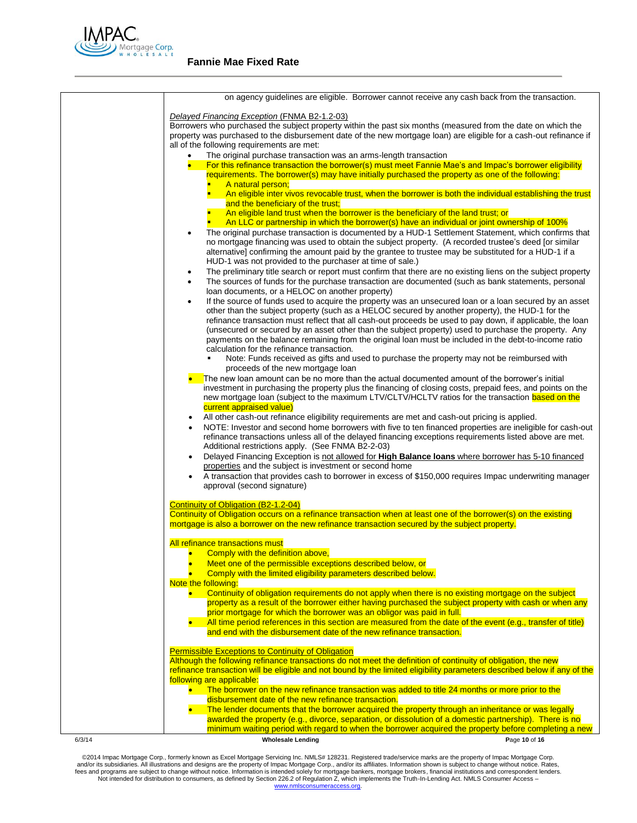

|        | on agency guidelines are eligible. Borrower cannot receive any cash back from the transaction.                                                                                         |
|--------|----------------------------------------------------------------------------------------------------------------------------------------------------------------------------------------|
|        | Delayed Financing Exception (FNMA B2-1.2-03)                                                                                                                                           |
|        | Borrowers who purchased the subject property within the past six months (measured from the date on which the                                                                           |
|        | property was purchased to the disbursement date of the new mortgage loan) are eligible for a cash-out refinance if                                                                     |
|        | all of the following requirements are met:                                                                                                                                             |
|        | The original purchase transaction was an arms-length transaction                                                                                                                       |
|        | For this refinance transaction the borrower(s) must meet Fannie Mae's and Impac's borrower eligibility                                                                                 |
|        | requirements. The borrower(s) may have initially purchased the property as one of the following:                                                                                       |
|        | A natural person;<br>An eligible inter vivos revocable trust, when the borrower is both the individual establishing the trust                                                          |
|        | and the beneficiary of the trust;                                                                                                                                                      |
|        | An eligible land trust when the borrower is the beneficiary of the land trust; or                                                                                                      |
|        | An LLC or partnership in which the borrower(s) have an individual or joint ownership of 100%                                                                                           |
|        | The original purchase transaction is documented by a HUD-1 Settlement Statement, which confirms that<br>$\bullet$                                                                      |
|        | no mortgage financing was used to obtain the subject property. (A recorded trustee's deed [or similar                                                                                  |
|        | alternative] confirming the amount paid by the grantee to trustee may be substituted for a HUD-1 if a                                                                                  |
|        | HUD-1 was not provided to the purchaser at time of sale.)<br>The preliminary title search or report must confirm that there are no existing liens on the subject property<br>$\bullet$ |
|        | The sources of funds for the purchase transaction are documented (such as bank statements, personal<br>٠                                                                               |
|        | loan documents, or a HELOC on another property)                                                                                                                                        |
|        | If the source of funds used to acquire the property was an unsecured loan or a loan secured by an asset<br>٠                                                                           |
|        | other than the subject property (such as a HELOC secured by another property), the HUD-1 for the                                                                                       |
|        | refinance transaction must reflect that all cash-out proceeds be used to pay down, if applicable, the loan                                                                             |
|        | (unsecured or secured by an asset other than the subject property) used to purchase the property. Any                                                                                  |
|        | payments on the balance remaining from the original loan must be included in the debt-to-income ratio                                                                                  |
|        | calculation for the refinance transaction.<br>Note: Funds received as gifts and used to purchase the property may not be reimbursed with                                               |
|        | proceeds of the new mortgage loan                                                                                                                                                      |
|        | The new loan amount can be no more than the actual documented amount of the borrower's initial                                                                                         |
|        | investment in purchasing the property plus the financing of closing costs, prepaid fees, and points on the                                                                             |
|        | new mortgage loan (subject to the maximum LTV/CLTV/HCLTV ratios for the transaction based on the                                                                                       |
|        | current appraised value)                                                                                                                                                               |
|        | All other cash-out refinance eligibility requirements are met and cash-out pricing is applied.<br>$\bullet$                                                                            |
|        | NOTE: Investor and second home borrowers with five to ten financed properties are ineligible for cash-out                                                                              |
|        | refinance transactions unless all of the delayed financing exceptions requirements listed above are met.<br>Additional restrictions apply. (See FNMA B2-2-03)                          |
|        | Delayed Financing Exception is not allowed for High Balance loans where borrower has 5-10 financed<br>$\bullet$                                                                        |
|        | properties and the subject is investment or second home                                                                                                                                |
|        | A transaction that provides cash to borrower in excess of \$150,000 requires Impac underwriting manager                                                                                |
|        | approval (second signature)                                                                                                                                                            |
|        |                                                                                                                                                                                        |
|        | Continuity of Obligation (B2-1.2-04)                                                                                                                                                   |
|        | Continuity of Obligation occurs on a refinance transaction when at least one of the borrower(s) on the existing                                                                        |
|        | mortgage is also a borrower on the new refinance transaction secured by the subject property.                                                                                          |
|        | All refinance transactions must                                                                                                                                                        |
|        | • Comply with the definition above,                                                                                                                                                    |
|        | Meet one of the permissible exceptions described below, or                                                                                                                             |
|        | Comply with the limited eligibility parameters described below.                                                                                                                        |
|        | Note the following:                                                                                                                                                                    |
|        | Continuity of obligation requirements do not apply when there is no existing mortgage on the subject                                                                                   |
|        | property as a result of the borrower either having purchased the subject property with cash or when any                                                                                |
|        | prior mortgage for which the borrower was an obligor was paid in full.<br>All time period references in this section are measured from the date of the event (e.g., transfer of title) |
|        | and end with the disbursement date of the new refinance transaction.                                                                                                                   |
|        |                                                                                                                                                                                        |
|        | <b>Permissible Exceptions to Continuity of Obligation</b>                                                                                                                              |
|        | Although the following refinance transactions do not meet the definition of continuity of obligation, the new                                                                          |
|        | refinance transaction will be eligible and not bound by the limited eligibility parameters described below if any of the                                                               |
|        | following are applicable:                                                                                                                                                              |
|        | The borrower on the new refinance transaction was added to title 24 months or more prior to the<br>disbursement date of the new refinance transaction.                                 |
|        | The lender documents that the borrower acquired the property through an inheritance or was legally                                                                                     |
|        | awarded the property (e.g., divorce, separation, or dissolution of a domestic partnership). There is no                                                                                |
|        | minimum waiting period with regard to when the borrower acquired the property before completing a new                                                                                  |
| 6/3/14 | <b>Wholesale Lending</b><br>Page 10 of 16                                                                                                                                              |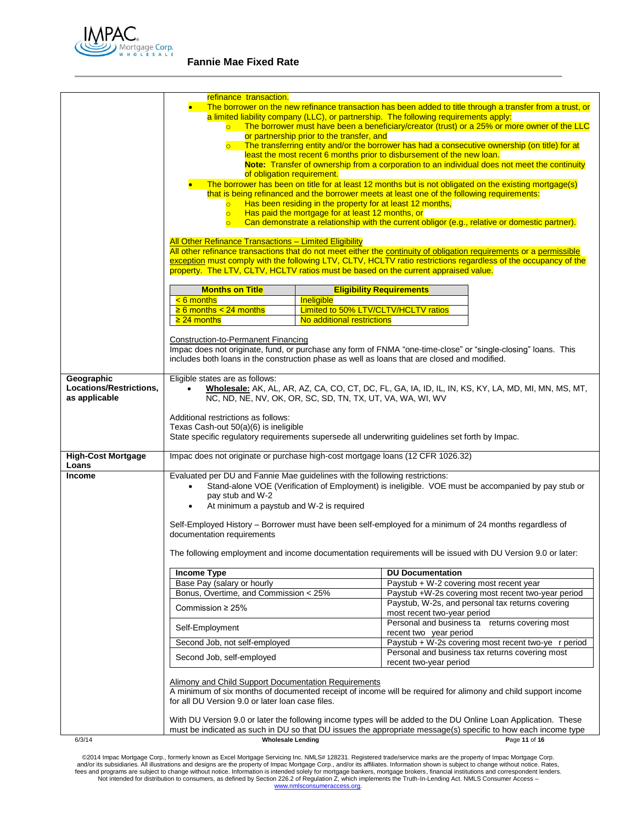

|                           | refinance transaction.                                                                                                                                                                                                          |                                                           |                                                                                                                                                                                                       |  |  |
|---------------------------|---------------------------------------------------------------------------------------------------------------------------------------------------------------------------------------------------------------------------------|-----------------------------------------------------------|-------------------------------------------------------------------------------------------------------------------------------------------------------------------------------------------------------|--|--|
|                           | The borrower on the new refinance transaction has been added to title through a transfer from a trust, or                                                                                                                       |                                                           |                                                                                                                                                                                                       |  |  |
|                           | a limited liability company (LLC), or partnership. The following requirements apply:<br>The borrower must have been a beneficiary/creator (trust) or a 25% or more owner of the LLC                                             |                                                           |                                                                                                                                                                                                       |  |  |
|                           | or partnership prior to the transfer, and                                                                                                                                                                                       |                                                           |                                                                                                                                                                                                       |  |  |
|                           | $\overline{\circ}$                                                                                                                                                                                                              |                                                           | The transferring entity and/or the borrower has had a consecutive ownership (on title) for at                                                                                                         |  |  |
|                           |                                                                                                                                                                                                                                 |                                                           | least the most recent 6 months prior to disbursement of the new loan.                                                                                                                                 |  |  |
|                           |                                                                                                                                                                                                                                 |                                                           | Note: Transfer of ownership from a corporation to an individual does not meet the continuity                                                                                                          |  |  |
|                           | of obligation requirement.                                                                                                                                                                                                      |                                                           |                                                                                                                                                                                                       |  |  |
|                           |                                                                                                                                                                                                                                 |                                                           | The borrower has been on title for at least 12 months but is not obligated on the existing mortgage(s)<br>that is being refinanced and the borrower meets at least one of the following requirements: |  |  |
|                           | $\overline{\circ}$                                                                                                                                                                                                              | Has been residing in the property for at least 12 months, |                                                                                                                                                                                                       |  |  |
|                           | $\overline{\mathsf{C}}$                                                                                                                                                                                                         | Has paid the mortgage for at least 12 months, or          |                                                                                                                                                                                                       |  |  |
|                           |                                                                                                                                                                                                                                 |                                                           | Can demonstrate a relationship with the current obligor (e.g., relative or domestic partner).                                                                                                         |  |  |
|                           |                                                                                                                                                                                                                                 |                                                           |                                                                                                                                                                                                       |  |  |
|                           | All Other Refinance Transactions - Limited Eligibility                                                                                                                                                                          |                                                           | All other refinance transactions that do not meet either the continuity of obligation requirements or a permissible                                                                                   |  |  |
|                           |                                                                                                                                                                                                                                 |                                                           | exception must comply with the following LTV, CLTV, HCLTV ratio restrictions regardless of the occupancy of the                                                                                       |  |  |
|                           | property. The LTV, CLTV, HCLTV ratios must be based on the current appraised value.                                                                                                                                             |                                                           |                                                                                                                                                                                                       |  |  |
|                           |                                                                                                                                                                                                                                 |                                                           |                                                                                                                                                                                                       |  |  |
|                           | <b>Months on Title</b>                                                                                                                                                                                                          |                                                           | <b>Eligibility Requirements</b>                                                                                                                                                                       |  |  |
|                           | $< 6$ months                                                                                                                                                                                                                    | Ineligible                                                |                                                                                                                                                                                                       |  |  |
|                           | $\geq 6$ months < 24 months                                                                                                                                                                                                     | Limited to 50% LTV/CLTV/HCLTV ratios                      |                                                                                                                                                                                                       |  |  |
|                           | $\geq$ 24 months                                                                                                                                                                                                                | No additional restrictions                                |                                                                                                                                                                                                       |  |  |
|                           |                                                                                                                                                                                                                                 |                                                           |                                                                                                                                                                                                       |  |  |
|                           | <b>Construction-to-Permanent Financing</b>                                                                                                                                                                                      |                                                           | Impac does not originate, fund, or purchase any form of FNMA "one-time-close" or "single-closing" loans. This                                                                                         |  |  |
|                           |                                                                                                                                                                                                                                 |                                                           | includes both loans in the construction phase as well as loans that are closed and modified.                                                                                                          |  |  |
|                           |                                                                                                                                                                                                                                 |                                                           |                                                                                                                                                                                                       |  |  |
| Geographic                | Eligible states are as follows:                                                                                                                                                                                                 |                                                           |                                                                                                                                                                                                       |  |  |
| Locations/Restrictions,   |                                                                                                                                                                                                                                 |                                                           | Wholesale: AK, AL, AR, AZ, CA, CO, CT, DC, FL, GA, IA, ID, IL, IN, KS, KY, LA, MD, MI, MN, MS, MT,                                                                                                    |  |  |
| as applicable             | NC, ND, NE, NV, OK, OR, SC, SD, TN, TX, UT, VA, WA, WI, WV                                                                                                                                                                      |                                                           |                                                                                                                                                                                                       |  |  |
|                           |                                                                                                                                                                                                                                 |                                                           |                                                                                                                                                                                                       |  |  |
|                           | Additional restrictions as follows:<br>Texas Cash-out 50(a)(6) is ineligible                                                                                                                                                    |                                                           |                                                                                                                                                                                                       |  |  |
|                           |                                                                                                                                                                                                                                 |                                                           | State specific regulatory requirements supersede all underwriting guidelines set forth by Impac.                                                                                                      |  |  |
|                           |                                                                                                                                                                                                                                 |                                                           |                                                                                                                                                                                                       |  |  |
| <b>High-Cost Mortgage</b> | Impac does not originate or purchase high-cost mortgage loans (12 CFR 1026.32)                                                                                                                                                  |                                                           |                                                                                                                                                                                                       |  |  |
| Loans                     |                                                                                                                                                                                                                                 |                                                           |                                                                                                                                                                                                       |  |  |
| <b>Income</b>             | Evaluated per DU and Fannie Mae guidelines with the following restrictions:                                                                                                                                                     |                                                           |                                                                                                                                                                                                       |  |  |
|                           | $\bullet$<br>pay stub and W-2                                                                                                                                                                                                   |                                                           | Stand-alone VOE (Verification of Employment) is ineligible. VOE must be accompanied by pay stub or                                                                                                    |  |  |
|                           | At minimum a paystub and W-2 is required                                                                                                                                                                                        |                                                           |                                                                                                                                                                                                       |  |  |
|                           |                                                                                                                                                                                                                                 |                                                           |                                                                                                                                                                                                       |  |  |
|                           |                                                                                                                                                                                                                                 |                                                           | Self-Employed History – Borrower must have been self-employed for a minimum of 24 months regardless of                                                                                                |  |  |
|                           | documentation requirements                                                                                                                                                                                                      |                                                           |                                                                                                                                                                                                       |  |  |
|                           |                                                                                                                                                                                                                                 |                                                           |                                                                                                                                                                                                       |  |  |
|                           |                                                                                                                                                                                                                                 |                                                           | The following employment and income documentation requirements will be issued with DU Version 9.0 or later:                                                                                           |  |  |
|                           | <b>Income Type</b><br><b>DU Documentation</b>                                                                                                                                                                                   |                                                           |                                                                                                                                                                                                       |  |  |
|                           | Base Pay (salary or hourly                                                                                                                                                                                                      |                                                           | Paystub + W-2 covering most recent year                                                                                                                                                               |  |  |
|                           | Bonus, Overtime, and Commission < 25%                                                                                                                                                                                           |                                                           | Paystub +W-2s covering most recent two-year period                                                                                                                                                    |  |  |
|                           |                                                                                                                                                                                                                                 |                                                           | Paystub, W-2s, and personal tax returns covering                                                                                                                                                      |  |  |
|                           | Commission $\geq$ 25%                                                                                                                                                                                                           |                                                           | most recent two-year period                                                                                                                                                                           |  |  |
|                           |                                                                                                                                                                                                                                 |                                                           | Personal and business ta returns covering most                                                                                                                                                        |  |  |
|                           | Self-Employment<br>recent two year period                                                                                                                                                                                       |                                                           |                                                                                                                                                                                                       |  |  |
|                           | Second Job, not self-employed                                                                                                                                                                                                   |                                                           | Paystub + W-2s covering most recent two-ye r period                                                                                                                                                   |  |  |
|                           | Personal and business tax returns covering most<br>Second Job, self-employed                                                                                                                                                    |                                                           |                                                                                                                                                                                                       |  |  |
|                           | recent two-year period                                                                                                                                                                                                          |                                                           |                                                                                                                                                                                                       |  |  |
|                           | <b>Alimony and Child Support Documentation Requirements</b>                                                                                                                                                                     |                                                           |                                                                                                                                                                                                       |  |  |
|                           | A minimum of six months of documented receipt of income will be required for alimony and child support income                                                                                                                   |                                                           |                                                                                                                                                                                                       |  |  |
|                           | for all DU Version 9.0 or later loan case files.                                                                                                                                                                                |                                                           |                                                                                                                                                                                                       |  |  |
|                           |                                                                                                                                                                                                                                 |                                                           |                                                                                                                                                                                                       |  |  |
|                           | With DU Version 9.0 or later the following income types will be added to the DU Online Loan Application. These<br>must be indicated as such in DU so that DU issues the appropriate message(s) specific to how each income type |                                                           |                                                                                                                                                                                                       |  |  |
| 6/3/14                    | <b>Wholesale Lending</b>                                                                                                                                                                                                        |                                                           | Page 11 of 16                                                                                                                                                                                         |  |  |
|                           |                                                                                                                                                                                                                                 |                                                           |                                                                                                                                                                                                       |  |  |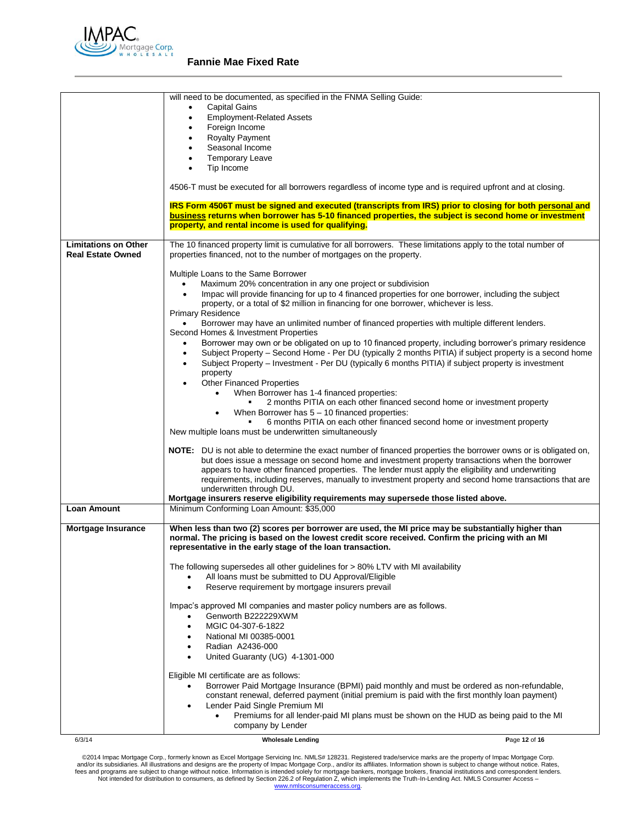

|                                                         | will need to be documented, as specified in the FNMA Selling Guide:                                                                                                                                                                                                  |
|---------------------------------------------------------|----------------------------------------------------------------------------------------------------------------------------------------------------------------------------------------------------------------------------------------------------------------------|
|                                                         | <b>Capital Gains</b><br>$\bullet$                                                                                                                                                                                                                                    |
|                                                         | <b>Employment-Related Assets</b><br>$\bullet$                                                                                                                                                                                                                        |
|                                                         | Foreign Income<br>$\bullet$                                                                                                                                                                                                                                          |
|                                                         | <b>Royalty Payment</b><br>$\bullet$                                                                                                                                                                                                                                  |
|                                                         | Seasonal Income<br>$\bullet$                                                                                                                                                                                                                                         |
|                                                         | <b>Temporary Leave</b><br>$\bullet$                                                                                                                                                                                                                                  |
|                                                         | Tip Income<br>$\bullet$                                                                                                                                                                                                                                              |
|                                                         | 4506-T must be executed for all borrowers regardless of income type and is required upfront and at closing.                                                                                                                                                          |
|                                                         |                                                                                                                                                                                                                                                                      |
|                                                         | IRS Form 4506T must be signed and executed (transcripts from IRS) prior to closing for both personal and                                                                                                                                                             |
|                                                         | business returns when borrower has 5-10 financed properties, the subject is second home or investment<br>property, and rental income is used for qualifying.                                                                                                         |
|                                                         |                                                                                                                                                                                                                                                                      |
| <b>Limitations on Other</b><br><b>Real Estate Owned</b> | The 10 financed property limit is cumulative for all borrowers. These limitations apply to the total number of<br>properties financed, not to the number of mortgages on the property.                                                                               |
|                                                         | Multiple Loans to the Same Borrower                                                                                                                                                                                                                                  |
|                                                         | Maximum 20% concentration in any one project or subdivision                                                                                                                                                                                                          |
|                                                         | Impac will provide financing for up to 4 financed properties for one borrower, including the subject                                                                                                                                                                 |
|                                                         | property, or a total of \$2 million in financing for one borrower, whichever is less.                                                                                                                                                                                |
|                                                         | <b>Primary Residence</b>                                                                                                                                                                                                                                             |
|                                                         | Borrower may have an unlimited number of financed properties with multiple different lenders.                                                                                                                                                                        |
|                                                         | Second Homes & Investment Properties                                                                                                                                                                                                                                 |
|                                                         | Borrower may own or be obligated on up to 10 financed property, including borrower's primary residence<br>Subject Property - Second Home - Per DU (typically 2 months PITIA) if subject property is a second home<br>$\bullet$                                       |
|                                                         | Subject Property - Investment - Per DU (typically 6 months PITIA) if subject property is investment<br>$\bullet$                                                                                                                                                     |
|                                                         | property                                                                                                                                                                                                                                                             |
|                                                         | <b>Other Financed Properties</b>                                                                                                                                                                                                                                     |
|                                                         | When Borrower has 1-4 financed properties:                                                                                                                                                                                                                           |
|                                                         | 2 months PITIA on each other financed second home or investment property                                                                                                                                                                                             |
|                                                         | When Borrower has $5 - 10$ financed properties:                                                                                                                                                                                                                      |
|                                                         | 6 months PITIA on each other financed second home or investment property                                                                                                                                                                                             |
|                                                         | New multiple loans must be underwritten simultaneously                                                                                                                                                                                                               |
|                                                         | NOTE: DU is not able to determine the exact number of financed properties the borrower owns or is obligated on,                                                                                                                                                      |
|                                                         | but does issue a message on second home and investment property transactions when the borrower                                                                                                                                                                       |
|                                                         | appears to have other financed properties. The lender must apply the eligibility and underwriting                                                                                                                                                                    |
|                                                         | requirements, including reserves, manually to investment property and second home transactions that are                                                                                                                                                              |
|                                                         | underwritten through DU.                                                                                                                                                                                                                                             |
|                                                         | Mortgage insurers reserve eligibility requirements may supersede those listed above.                                                                                                                                                                                 |
| <b>Loan Amount</b>                                      | Minimum Conforming Loan Amount: \$35,000                                                                                                                                                                                                                             |
| <b>Mortgage Insurance</b>                               | When less than two (2) scores per borrower are used, the MI price may be substantially higher than<br>normal. The pricing is based on the lowest credit score received. Confirm the pricing with an MI<br>representative in the early stage of the loan transaction. |
|                                                         | The following supersedes all other guidelines for > 80% LTV with MI availability                                                                                                                                                                                     |
|                                                         | All loans must be submitted to DU Approval/Eligible                                                                                                                                                                                                                  |
|                                                         | Reserve requirement by mortgage insurers prevail                                                                                                                                                                                                                     |
|                                                         | Impac's approved MI companies and master policy numbers are as follows.                                                                                                                                                                                              |
|                                                         | Genworth B222229XWM                                                                                                                                                                                                                                                  |
|                                                         | MGIC 04-307-6-1822<br>$\bullet$                                                                                                                                                                                                                                      |
|                                                         | National MI 00385-0001                                                                                                                                                                                                                                               |
|                                                         | Radian A2436-000                                                                                                                                                                                                                                                     |
|                                                         | United Guaranty (UG) 4-1301-000                                                                                                                                                                                                                                      |
|                                                         |                                                                                                                                                                                                                                                                      |
|                                                         | Eligible MI certificate are as follows:                                                                                                                                                                                                                              |
|                                                         | Borrower Paid Mortgage Insurance (BPMI) paid monthly and must be ordered as non-refundable,<br>constant renewal, deferred payment (initial premium is paid with the first monthly loan payment)                                                                      |
|                                                         | Lender Paid Single Premium MI                                                                                                                                                                                                                                        |
|                                                         | Premiums for all lender-paid MI plans must be shown on the HUD as being paid to the MI                                                                                                                                                                               |
|                                                         | company by Lender                                                                                                                                                                                                                                                    |
| 6/3/14                                                  | <b>Wholesale Lending</b><br>Page 12 of 16                                                                                                                                                                                                                            |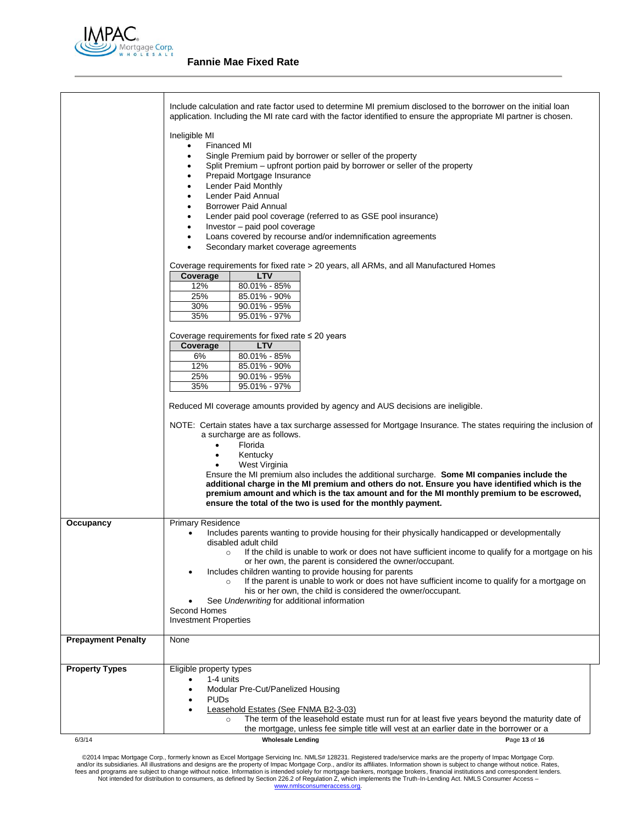

|                           | Include calculation and rate factor used to determine MI premium disclosed to the borrower on the initial loan<br>application. Including the MI rate card with the factor identified to ensure the appropriate MI partner is chosen.<br>Ineligible MI<br><b>Financed MI</b><br>$\bullet$<br>Single Premium paid by borrower or seller of the property<br>Split Premium - upfront portion paid by borrower or seller of the property<br>Prepaid Mortgage Insurance<br>$\bullet$<br>Lender Paid Monthly<br>Lender Paid Annual<br><b>Borrower Paid Annual</b><br>Lender paid pool coverage (referred to as GSE pool insurance)<br>Investor - paid pool coverage<br>Loans covered by recourse and/or indemnification agreements |  |  |
|---------------------------|-----------------------------------------------------------------------------------------------------------------------------------------------------------------------------------------------------------------------------------------------------------------------------------------------------------------------------------------------------------------------------------------------------------------------------------------------------------------------------------------------------------------------------------------------------------------------------------------------------------------------------------------------------------------------------------------------------------------------------|--|--|
|                           | Secondary market coverage agreements<br>Coverage requirements for fixed rate > 20 years, all ARMs, and all Manufactured Homes<br>Coverage<br><b>LTV</b><br>12%<br>80.01% - 85%<br>25%<br>85.01% - 90%<br>30%<br>90.01% - 95%<br>35%<br>95.01% - 97%                                                                                                                                                                                                                                                                                                                                                                                                                                                                         |  |  |
|                           | Coverage requirements for fixed rate $\leq 20$ years<br><b>LTV</b><br>Coverage<br>6%<br>80.01% - 85%<br>$85.01\% - 90\%$<br>12%<br>25%<br>90.01% - 95%<br>35%<br>95.01% - 97%<br>Reduced MI coverage amounts provided by agency and AUS decisions are ineligible.                                                                                                                                                                                                                                                                                                                                                                                                                                                           |  |  |
|                           | NOTE: Certain states have a tax surcharge assessed for Mortgage Insurance. The states requiring the inclusion of<br>a surcharge are as follows.<br>Florida<br>$\bullet$<br>Kentucky<br>West Virginia<br>Ensure the MI premium also includes the additional surcharge. Some MI companies include the<br>additional charge in the MI premium and others do not. Ensure you have identified which is the<br>premium amount and which is the tax amount and for the MI monthly premium to be escrowed,<br>ensure the total of the two is used for the monthly payment.                                                                                                                                                          |  |  |
| Occupancy                 | <b>Primary Residence</b><br>Includes parents wanting to provide housing for their physically handicapped or developmentally<br>disabled adult child<br>If the child is unable to work or does not have sufficient income to qualify for a mortgage on his<br>$\circ$<br>or her own, the parent is considered the owner/occupant.<br>Includes children wanting to provide housing for parents<br>If the parent is unable to work or does not have sufficient income to qualify for a mortgage on<br>$\circ$<br>his or her own, the child is considered the owner/occupant.<br>See Underwriting for additional information<br>Second Homes<br><b>Investment Properties</b>                                                    |  |  |
| <b>Prepayment Penalty</b> | None                                                                                                                                                                                                                                                                                                                                                                                                                                                                                                                                                                                                                                                                                                                        |  |  |
| <b>Property Types</b>     | Eligible property types<br>1-4 units<br>Modular Pre-Cut/Panelized Housing<br><b>PUDs</b><br>Leasehold Estates (See FNMA B2-3-03)<br>The term of the leasehold estate must run for at least five years beyond the maturity date of<br>$\circ$<br>the mortgage, unless fee simple title will vest at an earlier date in the borrower or a                                                                                                                                                                                                                                                                                                                                                                                     |  |  |
| 6/3/14                    | <b>Wholesale Lending</b><br>Page 13 of 16                                                                                                                                                                                                                                                                                                                                                                                                                                                                                                                                                                                                                                                                                   |  |  |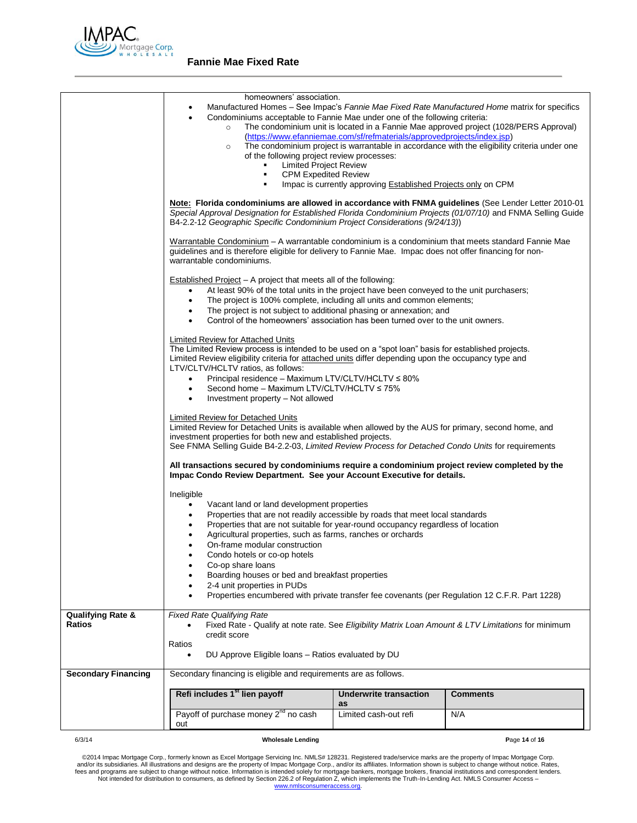

|                              | homeowners' association.                                                                                                                                                                                                                                                                                                                                                                                                                                                                                                                           |                       |     |  |  |
|------------------------------|----------------------------------------------------------------------------------------------------------------------------------------------------------------------------------------------------------------------------------------------------------------------------------------------------------------------------------------------------------------------------------------------------------------------------------------------------------------------------------------------------------------------------------------------------|-----------------------|-----|--|--|
|                              | Manufactured Homes – See Impac's Fannie Mae Fixed Rate Manufactured Home matrix for specifics                                                                                                                                                                                                                                                                                                                                                                                                                                                      |                       |     |  |  |
|                              | Condominiums acceptable to Fannie Mae under one of the following criteria:<br>$\bullet$<br>The condominium unit is located in a Fannie Mae approved project (1028/PERS Approval)<br>$\circ$                                                                                                                                                                                                                                                                                                                                                        |                       |     |  |  |
|                              | (https://www.efanniemae.com/sf/refmaterials/approvedprojects/index.jsp)                                                                                                                                                                                                                                                                                                                                                                                                                                                                            |                       |     |  |  |
|                              | The condominium project is warrantable in accordance with the eligibility criteria under one<br>$\circ$<br>of the following project review processes:                                                                                                                                                                                                                                                                                                                                                                                              |                       |     |  |  |
|                              |                                                                                                                                                                                                                                                                                                                                                                                                                                                                                                                                                    |                       |     |  |  |
|                              | <b>Limited Project Review</b><br><b>CPM Expedited Review</b><br>$\blacksquare$<br>Impac is currently approving <b>Established Projects only on CPM</b>                                                                                                                                                                                                                                                                                                                                                                                             |                       |     |  |  |
|                              |                                                                                                                                                                                                                                                                                                                                                                                                                                                                                                                                                    |                       |     |  |  |
|                              |                                                                                                                                                                                                                                                                                                                                                                                                                                                                                                                                                    |                       |     |  |  |
|                              | Note: Florida condominiums are allowed in accordance with FNMA guidelines (See Lender Letter 2010-01<br>Special Approval Designation for Established Florida Condominium Projects (01/07/10) and FNMA Selling Guide<br>B4-2.2-12 Geographic Specific Condominium Project Considerations (9/24/13))<br>Warrantable Condominium – A warrantable condominium is a condominium that meets standard Fannie Mae<br>guidelines and is therefore eligible for delivery to Fannie Mae. Impac does not offer financing for non-<br>warrantable condominiums. |                       |     |  |  |
|                              |                                                                                                                                                                                                                                                                                                                                                                                                                                                                                                                                                    |                       |     |  |  |
|                              | <b>Established Project</b> – A project that meets all of the following:                                                                                                                                                                                                                                                                                                                                                                                                                                                                            |                       |     |  |  |
|                              | At least 90% of the total units in the project have been conveyed to the unit purchasers;<br>٠                                                                                                                                                                                                                                                                                                                                                                                                                                                     |                       |     |  |  |
|                              | The project is 100% complete, including all units and common elements;<br>$\bullet$                                                                                                                                                                                                                                                                                                                                                                                                                                                                |                       |     |  |  |
|                              | The project is not subject to additional phasing or annexation; and<br>٠                                                                                                                                                                                                                                                                                                                                                                                                                                                                           |                       |     |  |  |
|                              | Control of the homeowners' association has been turned over to the unit owners.<br>٠                                                                                                                                                                                                                                                                                                                                                                                                                                                               |                       |     |  |  |
|                              | Limited Review for Attached Units                                                                                                                                                                                                                                                                                                                                                                                                                                                                                                                  |                       |     |  |  |
|                              | The Limited Review process is intended to be used on a "spot loan" basis for established projects.                                                                                                                                                                                                                                                                                                                                                                                                                                                 |                       |     |  |  |
|                              | Limited Review eligibility criteria for attached units differ depending upon the occupancy type and<br>LTV/CLTV/HCLTV ratios, as follows:                                                                                                                                                                                                                                                                                                                                                                                                          |                       |     |  |  |
|                              | Principal residence - Maximum LTV/CLTV/HCLTV ≤ 80%                                                                                                                                                                                                                                                                                                                                                                                                                                                                                                 |                       |     |  |  |
|                              | Second home $-$ Maximum LTV/CLTV/HCLTV $\leq$ 75%<br>$\bullet$                                                                                                                                                                                                                                                                                                                                                                                                                                                                                     |                       |     |  |  |
|                              | Investment property - Not allowed<br>٠<br>Limited Review for Detached Units<br>Limited Review for Detached Units is available when allowed by the AUS for primary, second home, and<br>investment properties for both new and established projects.                                                                                                                                                                                                                                                                                                |                       |     |  |  |
|                              |                                                                                                                                                                                                                                                                                                                                                                                                                                                                                                                                                    |                       |     |  |  |
|                              |                                                                                                                                                                                                                                                                                                                                                                                                                                                                                                                                                    |                       |     |  |  |
|                              | See FNMA Selling Guide B4-2.2-03, Limited Review Process for Detached Condo Units for requirements                                                                                                                                                                                                                                                                                                                                                                                                                                                 |                       |     |  |  |
|                              | All transactions secured by condominiums require a condominium project review completed by the<br>Impac Condo Review Department. See your Account Executive for details.<br>Ineligible                                                                                                                                                                                                                                                                                                                                                             |                       |     |  |  |
|                              |                                                                                                                                                                                                                                                                                                                                                                                                                                                                                                                                                    |                       |     |  |  |
|                              |                                                                                                                                                                                                                                                                                                                                                                                                                                                                                                                                                    |                       |     |  |  |
|                              | Vacant land or land development properties<br>٠                                                                                                                                                                                                                                                                                                                                                                                                                                                                                                    |                       |     |  |  |
|                              | Properties that are not readily accessible by roads that meet local standards<br>٠                                                                                                                                                                                                                                                                                                                                                                                                                                                                 |                       |     |  |  |
|                              | Properties that are not suitable for year-round occupancy regardless of location<br>٠                                                                                                                                                                                                                                                                                                                                                                                                                                                              |                       |     |  |  |
|                              | Agricultural properties, such as farms, ranches or orchards<br>On-frame modular construction<br>$\bullet$<br>Condo hotels or co-op hotels<br>Co-op share loans                                                                                                                                                                                                                                                                                                                                                                                     |                       |     |  |  |
|                              |                                                                                                                                                                                                                                                                                                                                                                                                                                                                                                                                                    |                       |     |  |  |
|                              |                                                                                                                                                                                                                                                                                                                                                                                                                                                                                                                                                    |                       |     |  |  |
|                              | Boarding houses or bed and breakfast properties                                                                                                                                                                                                                                                                                                                                                                                                                                                                                                    |                       |     |  |  |
|                              | 2-4 unit properties in PUDs                                                                                                                                                                                                                                                                                                                                                                                                                                                                                                                        |                       |     |  |  |
|                              | Properties encumbered with private transfer fee covenants (per Regulation 12 C.F.R. Part 1228)                                                                                                                                                                                                                                                                                                                                                                                                                                                     |                       |     |  |  |
| <b>Qualifying Rate &amp;</b> | <b>Fixed Rate Qualifying Rate</b>                                                                                                                                                                                                                                                                                                                                                                                                                                                                                                                  |                       |     |  |  |
| Ratios                       | Fixed Rate - Qualify at note rate. See Eligibility Matrix Loan Amount & LTV Limitations for minimum                                                                                                                                                                                                                                                                                                                                                                                                                                                |                       |     |  |  |
|                              | credit score<br>Ratios<br>DU Approve Eligible Ioans - Ratios evaluated by DU                                                                                                                                                                                                                                                                                                                                                                                                                                                                       |                       |     |  |  |
|                              |                                                                                                                                                                                                                                                                                                                                                                                                                                                                                                                                                    |                       |     |  |  |
| <b>Secondary Financing</b>   | Secondary financing is eligible and requirements are as follows.                                                                                                                                                                                                                                                                                                                                                                                                                                                                                   |                       |     |  |  |
|                              | Refi includes 1 <sup>st</sup> lien payoff                                                                                                                                                                                                                                                                                                                                                                                                                                                                                                          |                       |     |  |  |
|                              | <b>Underwrite transaction</b><br><b>Comments</b><br>as                                                                                                                                                                                                                                                                                                                                                                                                                                                                                             |                       |     |  |  |
|                              | Payoff of purchase money 2 <sup>nd</sup> no cash                                                                                                                                                                                                                                                                                                                                                                                                                                                                                                   | Limited cash-out refi | N/A |  |  |
|                              | out                                                                                                                                                                                                                                                                                                                                                                                                                                                                                                                                                |                       |     |  |  |

6/3/14 **Wholesale Lending P**age **14** of **16**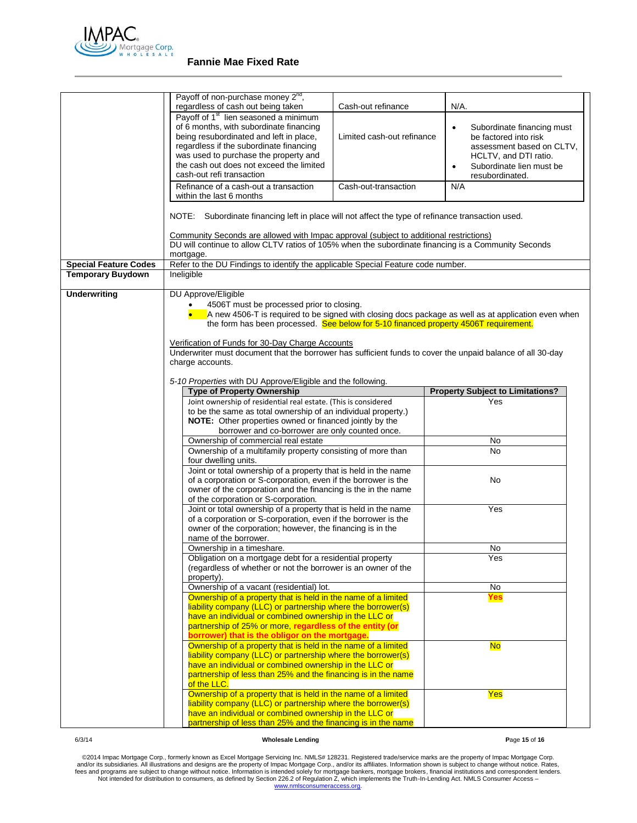

|                              | Payoff of non-purchase money 2 <sup>nd</sup> ,                                                                                                                                                       |                            |                                         |  |
|------------------------------|------------------------------------------------------------------------------------------------------------------------------------------------------------------------------------------------------|----------------------------|-----------------------------------------|--|
|                              | regardless of cash out being taken<br>Payoff of 1 <sup>st</sup> lien seasoned a minimum                                                                                                              | Cash-out refinance         | N/A.                                    |  |
|                              | of 6 months, with subordinate financing                                                                                                                                                              |                            | Subordinate financing must<br>$\bullet$ |  |
|                              | being resubordinated and left in place,                                                                                                                                                              | Limited cash-out refinance | be factored into risk                   |  |
|                              | regardless if the subordinate financing                                                                                                                                                              |                            | assessment based on CLTV,               |  |
|                              | was used to purchase the property and                                                                                                                                                                |                            | HCLTV, and DTI ratio.                   |  |
|                              | the cash out does not exceed the limited                                                                                                                                                             |                            | Subordinate lien must be<br>$\bullet$   |  |
|                              | cash-out refi transaction                                                                                                                                                                            |                            | resubordinated.                         |  |
|                              | Refinance of a cash-out a transaction                                                                                                                                                                | Cash-out-transaction       | N/A                                     |  |
|                              | within the last 6 months                                                                                                                                                                             |                            |                                         |  |
|                              | NOTE: Subordinate financing left in place will not affect the type of refinance transaction used.                                                                                                    |                            |                                         |  |
|                              | <b>Community Seconds are allowed with Impac approval (subject to additional restrictions)</b><br>DU will continue to allow CLTV ratios of 105% when the subordinate financing is a Community Seconds |                            |                                         |  |
|                              |                                                                                                                                                                                                      |                            |                                         |  |
|                              | mortgage.                                                                                                                                                                                            |                            |                                         |  |
| <b>Special Feature Codes</b> | Refer to the DU Findings to identify the applicable Special Feature code number.                                                                                                                     |                            |                                         |  |
| <b>Temporary Buydown</b>     | Ineligible                                                                                                                                                                                           |                            |                                         |  |
|                              |                                                                                                                                                                                                      |                            |                                         |  |
| <b>Underwriting</b>          | DU Approve/Eligible<br>4506T must be processed prior to closing.<br>A new 4506-T is required to be signed with closing docs package as well as at application even when                              |                            |                                         |  |
|                              |                                                                                                                                                                                                      |                            |                                         |  |
|                              | the form has been processed. See below for 5-10 financed property 4506T requirement.                                                                                                                 |                            |                                         |  |
|                              |                                                                                                                                                                                                      |                            |                                         |  |
|                              | Verification of Funds for 30-Day Charge Accounts                                                                                                                                                     |                            |                                         |  |
|                              | Underwriter must document that the borrower has sufficient funds to cover the unpaid balance of all 30-day                                                                                           |                            |                                         |  |
|                              | charge accounts.                                                                                                                                                                                     |                            |                                         |  |
|                              |                                                                                                                                                                                                      |                            |                                         |  |
|                              | 5-10 Properties with DU Approve/Eligible and the following.                                                                                                                                          |                            |                                         |  |
|                              | <b>Type of Property Ownership</b>                                                                                                                                                                    |                            | <b>Property Subject to Limitations?</b> |  |
|                              | Joint ownership of residential real estate. (This is considered                                                                                                                                      |                            |                                         |  |
|                              |                                                                                                                                                                                                      |                            | Yes                                     |  |
|                              | to be the same as total ownership of an individual property.)                                                                                                                                        |                            |                                         |  |
|                              | NOTE: Other properties owned or financed jointly by the                                                                                                                                              |                            |                                         |  |
|                              | borrower and co-borrower are only counted once.                                                                                                                                                      |                            |                                         |  |
|                              | Ownership of commercial real estate                                                                                                                                                                  |                            | No                                      |  |
|                              | Ownership of a multifamily property consisting of more than                                                                                                                                          |                            | No                                      |  |
|                              | four dwelling units.                                                                                                                                                                                 |                            |                                         |  |
|                              | Joint or total ownership of a property that is held in the name<br>of a corporation or S-corporation, even if the borrower is the                                                                    |                            | No                                      |  |
|                              | owner of the corporation and the financing is the in the name                                                                                                                                        |                            |                                         |  |
|                              | of the corporation or S-corporation.                                                                                                                                                                 |                            |                                         |  |
|                              | Joint or total ownership of a property that is held in the name                                                                                                                                      |                            | Yes                                     |  |
|                              | of a corporation or S-corporation, even if the borrower is the                                                                                                                                       |                            |                                         |  |
|                              | owner of the corporation; however, the financing is in the                                                                                                                                           |                            |                                         |  |
|                              | name of the borrower.                                                                                                                                                                                |                            |                                         |  |
|                              | Ownership in a timeshare.                                                                                                                                                                            |                            | <b>No</b>                               |  |
|                              | Obligation on a mortgage debt for a residential property                                                                                                                                             |                            | Yes                                     |  |
|                              | (regardless of whether or not the borrower is an owner of the                                                                                                                                        |                            |                                         |  |
|                              | property).                                                                                                                                                                                           |                            |                                         |  |
|                              | Ownership of a vacant (residential) lot.<br>Ownership of a property that is held in the name of a limited                                                                                            |                            | $\overline{N}$<br><u>Yes</u>            |  |
|                              | liability company (LLC) or partnership where the borrower(s)                                                                                                                                         |                            |                                         |  |
|                              | have an individual or combined ownership in the LLC or                                                                                                                                               |                            |                                         |  |
|                              | partnership of 25% or more, regardless of the entity (or                                                                                                                                             |                            |                                         |  |
|                              | borrower) that is the obligor on the mortgage.                                                                                                                                                       |                            |                                         |  |
|                              | Ownership of a property that is held in the name of a limited                                                                                                                                        |                            | <b>No</b>                               |  |
|                              | liability company (LLC) or partnership where the borrower(s)                                                                                                                                         |                            |                                         |  |
|                              | have an individual or combined ownership in the LLC or                                                                                                                                               |                            |                                         |  |
|                              | partnership of less than 25% and the financing is in the name                                                                                                                                        |                            |                                         |  |
|                              | of the LLC.                                                                                                                                                                                          |                            |                                         |  |
|                              | Ownership of a property that is held in the name of a limited                                                                                                                                        |                            | Yes                                     |  |
|                              | liability company (LLC) or partnership where the borrower(s)<br>have an individual or combined ownership in the LLC or                                                                               |                            |                                         |  |

# 6/3/14 **Wholesale Lending P**age **15** of **16**